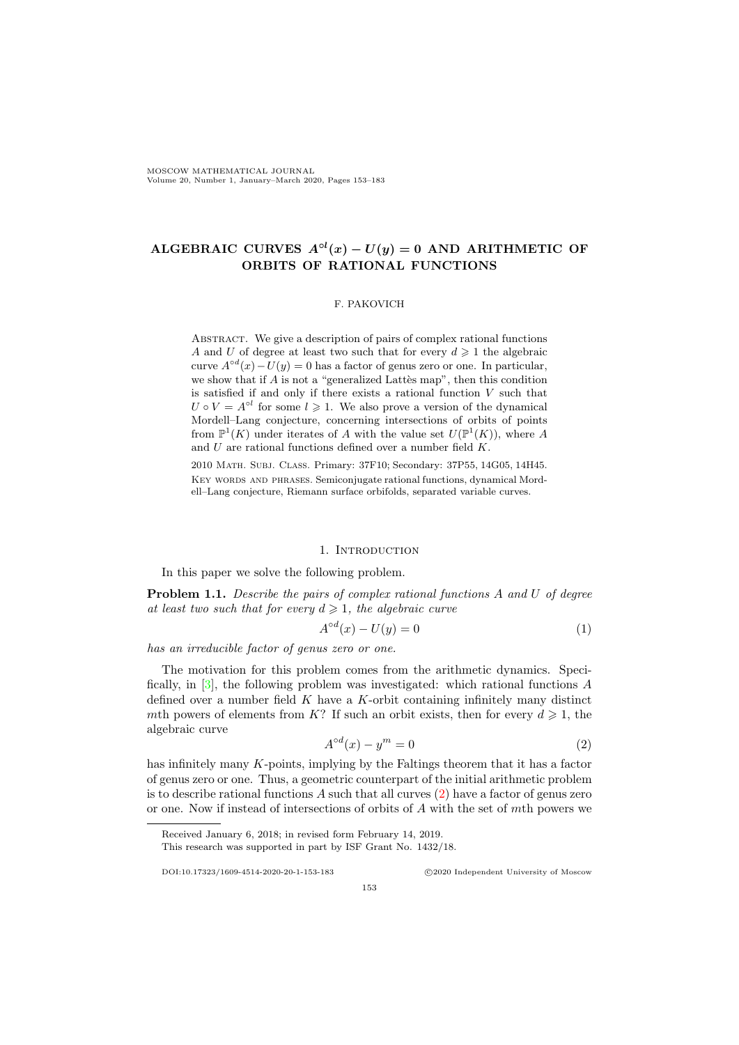# ALGEBRAIC CURVES  $A^{\circ l}(x) - U(y) = 0$  AND ARITHMETIC OF ORBITS OF RATIONAL FUNCTIONS

# F. PAKOVICH

Abstract. We give a description of pairs of complex rational functions A and U of degree at least two such that for every  $d \geq 1$  the algebraic curve  $A^{\circ d}(x) - U(y) = 0$  has a factor of genus zero or one. In particular, we show that if  $A$  is not a "generalized Lattès map", then this condition is satisfied if and only if there exists a rational function  $V$  such that  $U \circ V = A^{\circ l}$  for some  $l \geq 1$ . We also prove a version of the dynamical Mordell–Lang conjecture, concerning intersections of orbits of points from  $\mathbb{P}^1(K)$  under iterates of A with the value set  $U(\mathbb{P}^1(K))$ , where A and U are rational functions defined over a number field K.

2010 Math. Subj. Class. Primary: 37F10; Secondary: 37P55, 14G05, 14H45. KEY WORDS AND PHRASES. Semiconjugate rational functions, dynamical Mordell–Lang conjecture, Riemann surface orbifolds, separated variable curves.

#### 1. INTRODUCTION

In this paper we solve the following problem.

<span id="page-0-1"></span>Problem 1.1. Describe the pairs of complex rational functions A and U of degree at least two such that for every  $d \geq 1$ , the algebraic curve

<span id="page-0-2"></span>
$$
A^{\circ d}(x) - U(y) = 0\tag{1}
$$

has an irreducible factor of genus zero or one.

The motivation for this problem comes from the arithmetic dynamics. Specifically, in [\[3\]](#page-30-0), the following problem was investigated: which rational functions A defined over a number field  $K$  have a  $K$ -orbit containing infinitely many distinct mth powers of elements from K? If such an orbit exists, then for every  $d \geq 1$ , the algebraic curve

<span id="page-0-0"></span>
$$
A^{\circ d}(x) - y^m = 0\tag{2}
$$

has infinitely many K-points, implying by the Faltings theorem that it has a factor of genus zero or one. Thus, a geometric counterpart of the initial arithmetic problem is to describe rational functions  $A$  such that all curves  $(2)$  have a factor of genus zero or one. Now if instead of intersections of orbits of A with the set of mth powers we

Received January 6, 2018; in revised form February 14, 2019.

This research was supported in part by ISF Grant No. 1432/18.

DOI:10.17323/1609-4514-2020-20-1-153-183 c 2020 Independent University of Moscow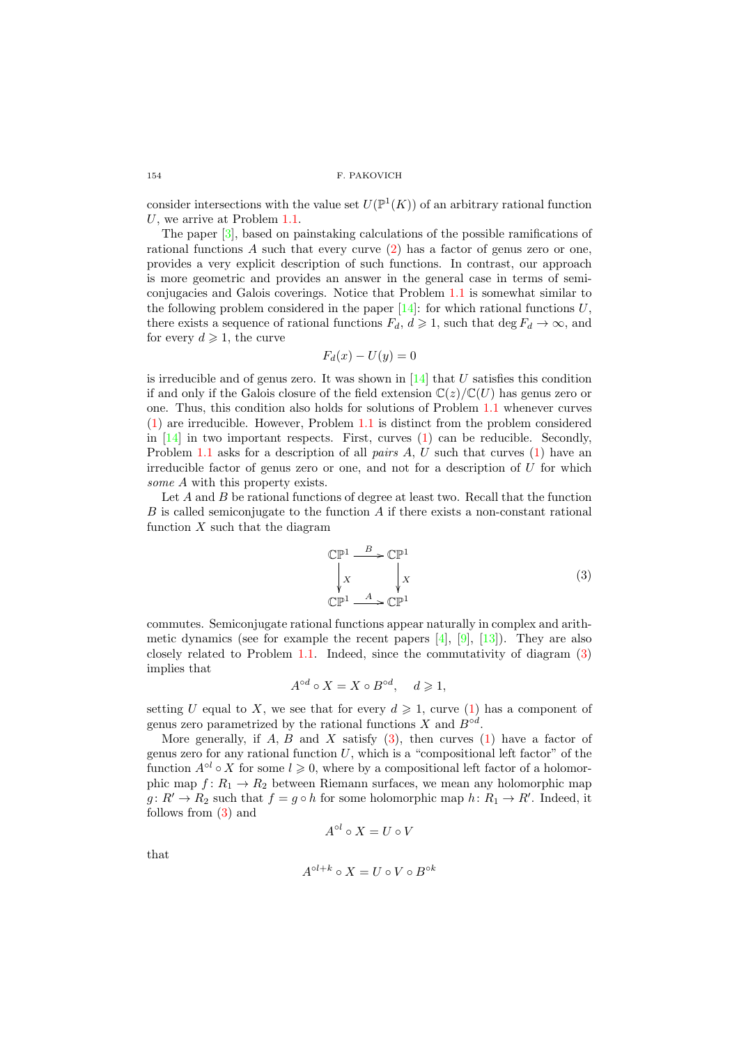consider intersections with the value set  $U(\mathbb{P}^1(K))$  of an arbitrary rational function U, we arrive at Problem [1.1.](#page-0-1)

The paper [\[3\]](#page-30-0), based on painstaking calculations of the possible ramifications of rational functions  $A$  such that every curve  $(2)$  has a factor of genus zero or one, provides a very explicit description of such functions. In contrast, our approach is more geometric and provides an answer in the general case in terms of semiconjugacies and Galois coverings. Notice that Problem [1.1](#page-0-1) is somewhat similar to the following problem considered in the paper  $[14]$ : for which rational functions U, there exists a sequence of rational functions  $F_d$ ,  $d \geq 1$ , such that deg  $F_d \to \infty$ , and for every  $d \geqslant 1$ , the curve

$$
F_d(x) - U(y) = 0
$$

is irreducible and of genus zero. It was shown in  $[14]$  that  $U$  satisfies this condition if and only if the Galois closure of the field extension  $\mathbb{C}(z)/\mathbb{C}(U)$  has genus zero or one. Thus, this condition also holds for solutions of Problem [1.1](#page-0-1) whenever curves [\(1\)](#page-0-2) are irreducible. However, Problem [1.1](#page-0-1) is distinct from the problem considered in  $[14]$  in two important respects. First, curves  $(1)$  can be reducible. Secondly, Problem [1.1](#page-0-1) asks for a description of all *pairs A*, U such that curves [\(1\)](#page-0-2) have an irreducible factor of genus zero or one, and not for a description of U for which some A with this property exists.

Let A and B be rational functions of degree at least two. Recall that the function  $B$  is called semiconjugate to the function  $A$  if there exists a non-constant rational function  $X$  such that the diagram

<span id="page-1-0"></span>
$$
\begin{array}{ccc}\n\mathbb{C}\mathbb{P}^1 & \xrightarrow{B} & \mathbb{C}\mathbb{P}^1 \\
\downarrow x & & x \\
\mathbb{C}\mathbb{P}^1 & \xrightarrow{A} & \mathbb{C}\mathbb{P}^1\n\end{array} \tag{3}
$$

commutes. Semiconjugate rational functions appear naturally in complex and arithmetic dynamics (see for example the recent papers  $[4]$ ,  $[9]$ ,  $[13]$ ). They are also closely related to Problem [1.1.](#page-0-1) Indeed, since the commutativity of diagram [\(3\)](#page-1-0) implies that

$$
A^{\circ d} \circ X = X \circ B^{\circ d}, \quad d \geq 1,
$$

setting U equal to X, we see that for every  $d \geq 1$ , curve [\(1\)](#page-0-2) has a component of genus zero parametrized by the rational functions X and  $B^{\circ d}$ .

More generally, if  $A, B$  and  $X$  satisfy  $(3)$ , then curves  $(1)$  have a factor of genus zero for any rational function  $U$ , which is a "compositional left factor" of the function  $A^{\circ l} \circ X$  for some  $l \geqslant 0$ , where by a compositional left factor of a holomorphic map  $f: R_1 \to R_2$  between Riemann surfaces, we mean any holomorphic map  $g: R' \to R_2$  such that  $f = g \circ h$  for some holomorphic map  $h: R_1 \to R'$ . Indeed, it follows from [\(3\)](#page-1-0) and

$$
A^{\circ l} \circ X = U \circ V
$$

that

$$
A^{\circ l+k}\circ X=U\circ V\circ B^{\circ k}
$$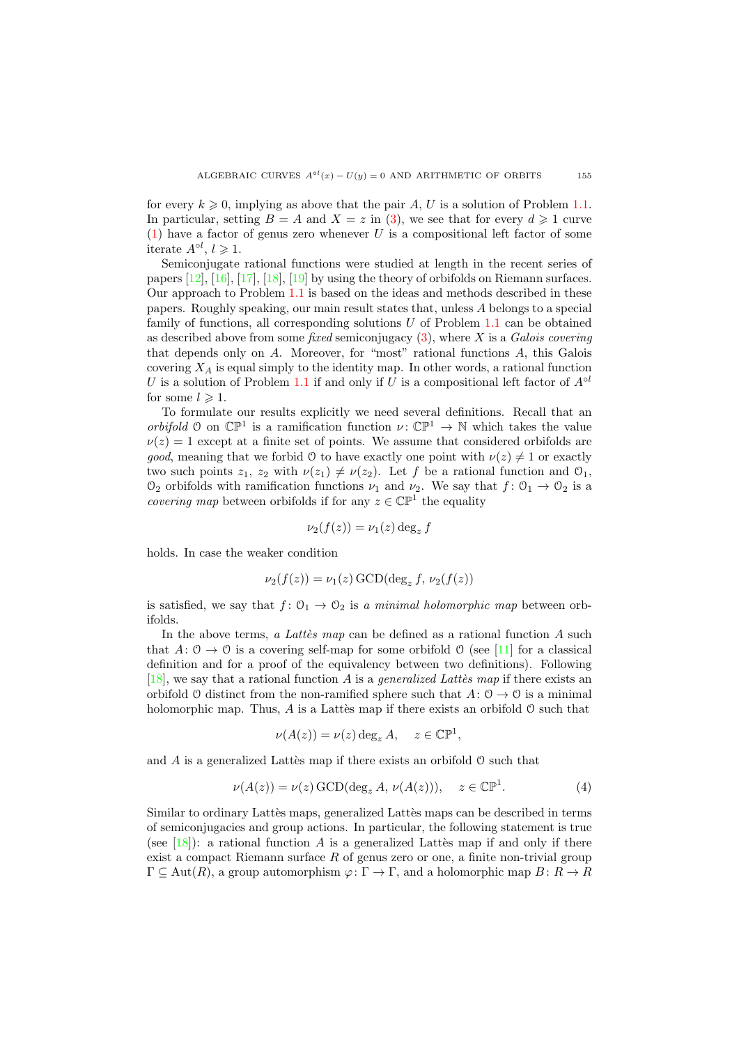for every  $k \geqslant 0$ , implying as above that the pair A, U is a solution of Problem [1.1.](#page-0-1) In particular, setting  $B = A$  and  $X = z$  in [\(3\)](#page-1-0), we see that for every  $d \ge 1$  curve  $(1)$  have a factor of genus zero whenever U is a compositional left factor of some iterate  $A^{\circ l}$ ,  $l \geqslant 1$ .

Semiconjugate rational functions were studied at length in the recent series of papers [\[12\]](#page-30-5), [\[16\]](#page-30-6), [\[17\]](#page-30-7), [\[18\]](#page-30-8), [\[19\]](#page-30-9) by using the theory of orbifolds on Riemann surfaces. Our approach to Problem [1.1](#page-0-1) is based on the ideas and methods described in these papers. Roughly speaking, our main result states that, unless A belongs to a special family of functions, all corresponding solutions  $U$  of Problem [1.1](#page-0-1) can be obtained as described above from some fixed semiconjugacy  $(3)$ , where X is a Galois covering that depends only on  $A$ . Moreover, for "most" rational functions  $A$ , this Galois covering  $X_A$  is equal simply to the identity map. In other words, a rational function U is a solution of Problem [1.1](#page-0-1) if and only if U is a compositional left factor of  $A^{\circ l}$ for some  $l \geq 1$ .

To formulate our results explicitly we need several definitions. Recall that an orbifold 0 on  $\mathbb{CP}^1$  is a ramification function  $\nu: \mathbb{CP}^1 \to \mathbb{N}$  which takes the value  $\nu(z) = 1$  except at a finite set of points. We assume that considered orbifolds are *good*, meaning that we forbid O to have exactly one point with  $\nu(z) \neq 1$  or exactly two such points  $z_1, z_2$  with  $\nu(z_1) \neq \nu(z_2)$ . Let f be a rational function and  $\mathcal{O}_1$ ,  $\mathcal{O}_2$  orbifolds with ramification functions  $\nu_1$  and  $\nu_2$ . We say that  $f: \mathcal{O}_1 \to \mathcal{O}_2$  is a *covering map* between orbifolds if for any  $z \in \mathbb{CP}^1$  the equality

$$
\nu_2(f(z)) = \nu_1(z) \deg_z f
$$

holds. In case the weaker condition

$$
\nu_2(f(z)) = \nu_1(z) \,\text{GCD}(\text{deg}_z f, \nu_2(f(z))
$$

is satisfied, we say that  $f: \mathcal{O}_1 \to \mathcal{O}_2$  is a minimal holomorphic map between orbifolds.

In the above terms, a Lattees map can be defined as a rational function A such that  $A: \mathcal{O} \to \mathcal{O}$  is a covering self-map for some orbifold  $\mathcal{O}$  (see [\[11\]](#page-30-10) for a classical definition and for a proof of the equivalency between two definitions). Following [\[18\]](#page-30-8), we say that a rational function A is a *generalized Latters* map if there exists an orbifold O distinct from the non-ramified sphere such that  $A: \mathcal{O} \to \mathcal{O}$  is a minimal holomorphic map. Thus,  $A$  is a Lattes map if there exists an orbifold  $\mathcal O$  such that

$$
\nu(A(z)) = \nu(z) \deg_z A, \quad z \in \mathbb{CP}^1,
$$

and  $A$  is a generalized Lattès map if there exists an orbifold  $\mathcal O$  such that

<span id="page-2-0"></span>
$$
\nu(A(z)) = \nu(z) \,\text{GCD}(\text{deg}_z A, \nu(A(z))), \quad z \in \mathbb{CP}^1. \tag{4}
$$

Similar to ordinary Lattes maps, generalized Lattes maps can be described in terms of semiconjugacies and group actions. In particular, the following statement is true (see  $[18]$ ): a rational function A is a generalized Lattes map if and only if there exist a compact Riemann surface  $R$  of genus zero or one, a finite non-trivial group  $\Gamma \subseteq \text{Aut}(R)$ , a group automorphism  $\varphi \colon \Gamma \to \Gamma$ , and a holomorphic map  $B \colon R \to R$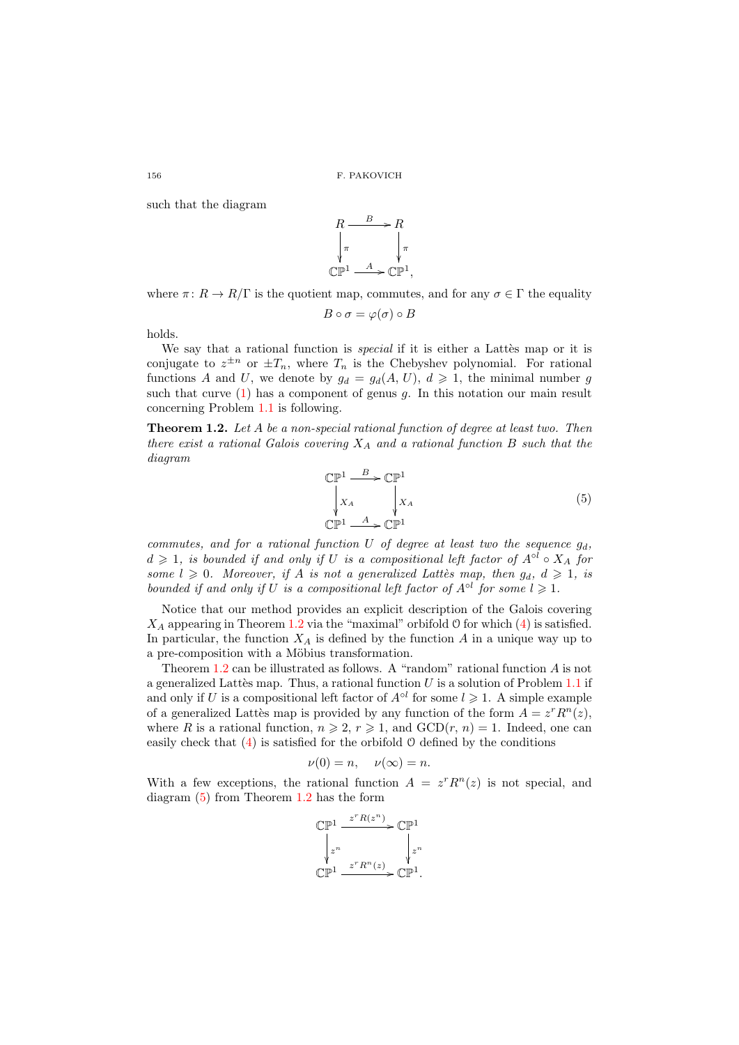such that the diagram



where  $\pi: R \to R/\Gamma$  is the quotient map, commutes, and for any  $\sigma \in \Gamma$  the equality

$$
B \circ \sigma = \varphi(\sigma) \circ B
$$

holds.

We say that a rational function is *special* if it is either a Lattes map or it is conjugate to  $z^{\pm n}$  or  $\pm T_n$ , where  $T_n$  is the Chebyshev polynomial. For rational functions A and U, we denote by  $g_d = g_d(A, U), d \geq 1$ , the minimal number g such that curve  $(1)$  has a component of genus g. In this notation our main result concerning Problem [1.1](#page-0-1) is following.

<span id="page-3-0"></span>Theorem 1.2. Let A be a non-special rational function of degree at least two. Then there exist a rational Galois covering  $X_A$  and a rational function  $B$  such that the diagram

<span id="page-3-1"></span>
$$
\begin{array}{ccc}\n\mathbb{CP}^1 & \xrightarrow{B} & \mathbb{CP}^1 \\
\downarrow X_A & \downarrow X_A \\
\mathbb{CP}^1 & \xrightarrow{A} & \mathbb{CP}^1\n\end{array} \tag{5}
$$

commutes, and for a rational function  $U$  of degree at least two the sequence  $g_d$ ,  $d \geq 1$ , is bounded if and only if U is a compositional left factor of  $A^{\circ l} \circ X_A$  for some  $l \geq 0$ . Moreover, if A is not a generalized Lattès map, then  $g_d, d \geq 1$ , is bounded if and only if U is a compositional left factor of  $A^{\circ l}$  for some  $l \geqslant 1$ .

Notice that our method provides an explicit description of the Galois covering  $X_A$  appearing in Theorem [1.2](#page-3-0) via the "maximal" orbifold  $\theta$  for which [\(4\)](#page-2-0) is satisfied. In particular, the function  $X_A$  is defined by the function  $A$  in a unique way up to a pre-composition with a Möbius transformation.

Theorem [1.2](#page-3-0) can be illustrated as follows. A "random" rational function A is not a generalized Lattès map. Thus, a rational function  $U$  is a solution of Problem [1.1](#page-0-1) if and only if U is a compositional left factor of  $A^{\circ l}$  for some  $l \geq 1$ . A simple example of a generalized Lattès map is provided by any function of the form  $A = z<sup>r</sup> R<sup>n</sup>(z)$ , where R is a rational function,  $n \ge 2$ ,  $r \ge 1$ , and  $\text{GCD}(r, n) = 1$ . Indeed, one can easily check that [\(4\)](#page-2-0) is satisfied for the orbifold O defined by the conditions

$$
\nu(0) = n, \quad \nu(\infty) = n.
$$

With a few exceptions, the rational function  $A = z^r R^n(z)$  is not special, and diagram [\(5\)](#page-3-1) from Theorem [1.2](#page-3-0) has the form

$$
\begin{matrix} \mathbb{CP}^1\xrightarrow{\phantom{a}z^rR(z^n)}\mathbb{CP}^1\\ \downarrow{z^n}\\\mathbb{CP}^1\xrightarrow{\phantom{a}z^rR^n(z)}\mathbb{CP}^1.\end{matrix}
$$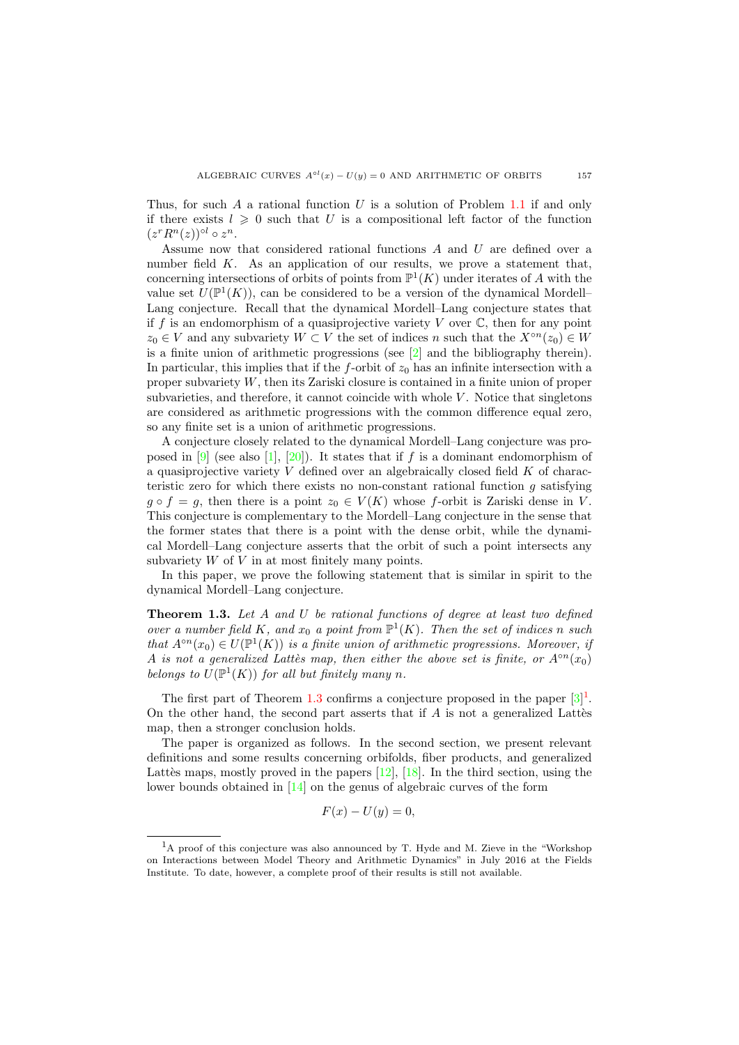Thus, for such A a rational function U is a solution of Problem [1.1](#page-0-1) if and only if there exists  $l \geq 0$  such that U is a compositional left factor of the function  $(z^r R^n(z))$ <sup>ol</sup>  $\circ z^n$ .

Assume now that considered rational functions A and U are defined over a number field  $K$ . As an application of our results, we prove a statement that, concerning intersections of orbits of points from  $\mathbb{P}^1(K)$  under iterates of A with the value set  $U(\mathbb{P}^1(K))$ , can be considered to be a version of the dynamical Mordell-Lang conjecture. Recall that the dynamical Mordell–Lang conjecture states that if f is an endomorphism of a quasiprojective variety V over  $\mathbb C$ , then for any point  $z_0 \in V$  and any subvariety  $W \subset V$  the set of indices n such that the  $X^{\circ n}(z_0) \in W$ is a finite union of arithmetic progressions (see [\[2\]](#page-30-11) and the bibliography therein). In particular, this implies that if the  $f$ -orbit of  $z_0$  has an infinite intersection with a proper subvariety W, then its Zariski closure is contained in a finite union of proper subvarieties, and therefore, it cannot coincide with whole  $V$ . Notice that singletons are considered as arithmetic progressions with the common difference equal zero, so any finite set is a union of arithmetic progressions.

A conjecture closely related to the dynamical Mordell–Lang conjecture was pro-posed in [\[9\]](#page-30-3) (see also [\[1\]](#page-30-12), [\[20\]](#page-30-13)). It states that if f is a dominant endomorphism of a quasiprojective variety  $V$  defined over an algebraically closed field  $K$  of characteristic zero for which there exists no non-constant rational function g satisfying  $g \circ f = g$ , then there is a point  $z_0 \in V(K)$  whose f-orbit is Zariski dense in V. This conjecture is complementary to the Mordell–Lang conjecture in the sense that the former states that there is a point with the dense orbit, while the dynamical Mordell–Lang conjecture asserts that the orbit of such a point intersects any subvariety  $W$  of  $V$  in at most finitely many points.

In this paper, we prove the following statement that is similar in spirit to the dynamical Mordell–Lang conjecture.

<span id="page-4-0"></span>**Theorem 1.3.** Let  $A$  and  $U$  be rational functions of degree at least two defined over a number field K, and  $x_0$  a point from  $\mathbb{P}^1(K)$ . Then the set of indices n such that  $A^{\circ n}(x_0) \in U(\mathbb{P}^1(K))$  is a finite union of arithmetic progressions. Moreover, if A is not a generalized Lattès map, then either the above set is finite, or  $A^{\circ n}(x_0)$ belongs to  $U(\mathbb{P}^1(K))$  for all but finitely many n.

The first part of Theorem [1.3](#page-4-0) confirms a conjecture proposed in the paper  $[3]^1$  $[3]^1$ . On the other hand, the second part asserts that if  $A$  is not a generalized Lattes map, then a stronger conclusion holds.

The paper is organized as follows. In the second section, we present relevant definitions and some results concerning orbifolds, fiber products, and generalized Lattès maps, mostly proved in the papers  $[12]$ ,  $[18]$ . In the third section, using the lower bounds obtained in [\[14\]](#page-30-1) on the genus of algebraic curves of the form

$$
F(x) - U(y) = 0,
$$

<span id="page-4-1"></span><sup>&</sup>lt;sup>1</sup>A proof of this conjecture was also announced by T. Hyde and M. Zieve in the "Workshop" on Interactions between Model Theory and Arithmetic Dynamics" in July 2016 at the Fields Institute. To date, however, a complete proof of their results is still not available.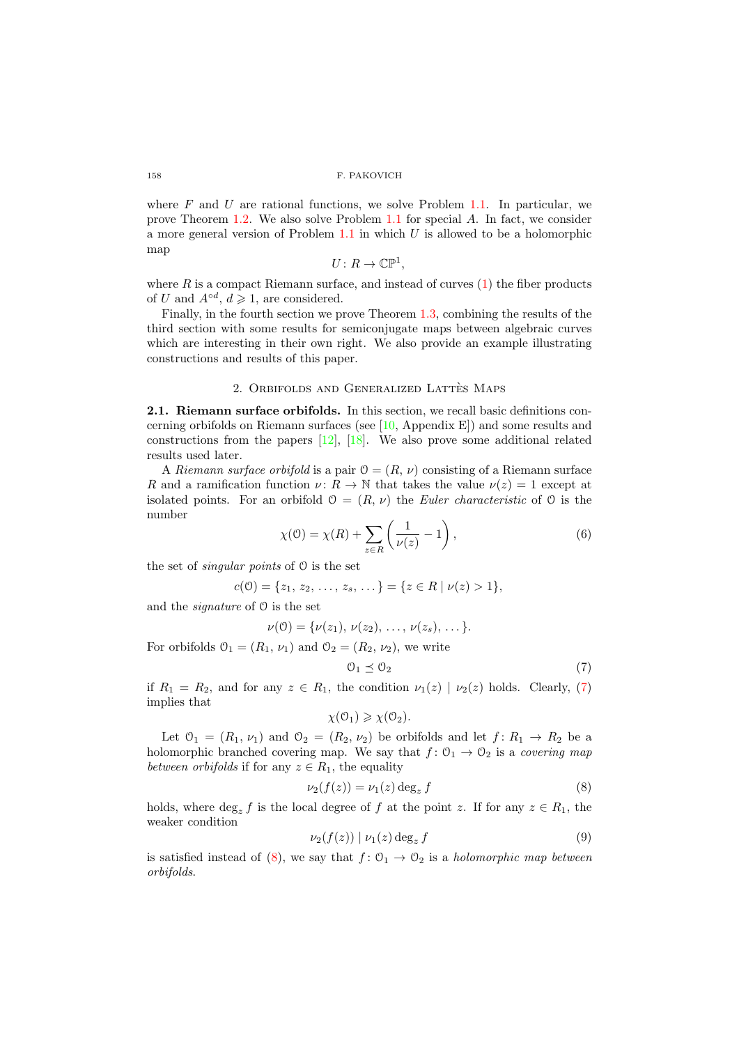where  $F$  and  $U$  are rational functions, we solve Problem [1.1.](#page-0-1) In particular, we prove Theorem [1.2.](#page-3-0) We also solve Problem [1.1](#page-0-1) for special A. In fact, we consider a more general version of Problem  $1.1$  in which U is allowed to be a holomorphic map

$$
U\colon R\to\mathbb{CP}^1,
$$

where  $R$  is a compact Riemann surface, and instead of curves  $(1)$  the fiber products of U and  $A^{\circ d}$ ,  $d \geqslant 1$ , are considered.

Finally, in the fourth section we prove Theorem [1.3,](#page-4-0) combining the results of the third section with some results for semiconjugate maps between algebraic curves which are interesting in their own right. We also provide an example illustrating constructions and results of this paper.

### 2. ORBIFOLDS AND GENERALIZED LATTÈS MAPS

2.1. Riemann surface orbifolds. In this section, we recall basic definitions concerning orbifolds on Riemann surfaces (see [\[10,](#page-30-14) Appendix E]) and some results and constructions from the papers  $[12]$ ,  $[18]$ . We also prove some additional related results used later.

A Riemann surface orbifold is a pair  $\mathcal{O} = (R, \nu)$  consisting of a Riemann surface R and a ramification function  $\nu: R \to \mathbb{N}$  that takes the value  $\nu(z) = 1$  except at isolated points. For an orbifold  $\mathcal{O} = (R, \nu)$  the *Euler characteristic* of  $\mathcal{O}$  is the number

<span id="page-5-3"></span>
$$
\chi(\mathcal{O}) = \chi(R) + \sum_{z \in R} \left( \frac{1}{\nu(z)} - 1 \right),\tag{6}
$$

the set of *singular points* of  $\theta$  is the set

$$
c(0) = \{z_1, z_2, \ldots, z_s, \ldots\} = \{z \in R \mid \nu(z) > 1\},\
$$

and the signature of O is the set

$$
\nu(0) = \{\nu(z_1), \nu(z_2), \ldots, \nu(z_s), \ldots\}.
$$

For orbifolds  $\mathcal{O}_1 = (R_1, \nu_1)$  and  $\mathcal{O}_2 = (R_2, \nu_2)$ , we write

<span id="page-5-0"></span>
$$
0_1 \preceq 0_2 \tag{7}
$$

if  $R_1 = R_2$ , and for any  $z \in R_1$ , the condition  $\nu_1(z) | \nu_2(z)$  holds. Clearly, [\(7\)](#page-5-0) implies that

$$
\chi(\mathcal{O}_1) \geqslant \chi(\mathcal{O}_2).
$$

Let  $\mathcal{O}_1 = (R_1, \nu_1)$  and  $\mathcal{O}_2 = (R_2, \nu_2)$  be orbifolds and let  $f: R_1 \rightarrow R_2$  be a holomorphic branched covering map. We say that  $f: \mathcal{O}_1 \to \mathcal{O}_2$  is a *covering map* between orbifolds if for any  $z \in R_1$ , the equality

<span id="page-5-1"></span>
$$
\nu_2(f(z)) = \nu_1(z) \deg_z f \tag{8}
$$

holds, where  $\deg_z f$  is the local degree of f at the point z. If for any  $z \in R_1$ , the weaker condition

<span id="page-5-2"></span>
$$
\nu_2(f(z)) \mid \nu_1(z) \deg_z f \tag{9}
$$

is satisfied instead of [\(8\)](#page-5-1), we say that  $f: \mathcal{O}_1 \to \mathcal{O}_2$  is a *holomorphic map between* orbifolds.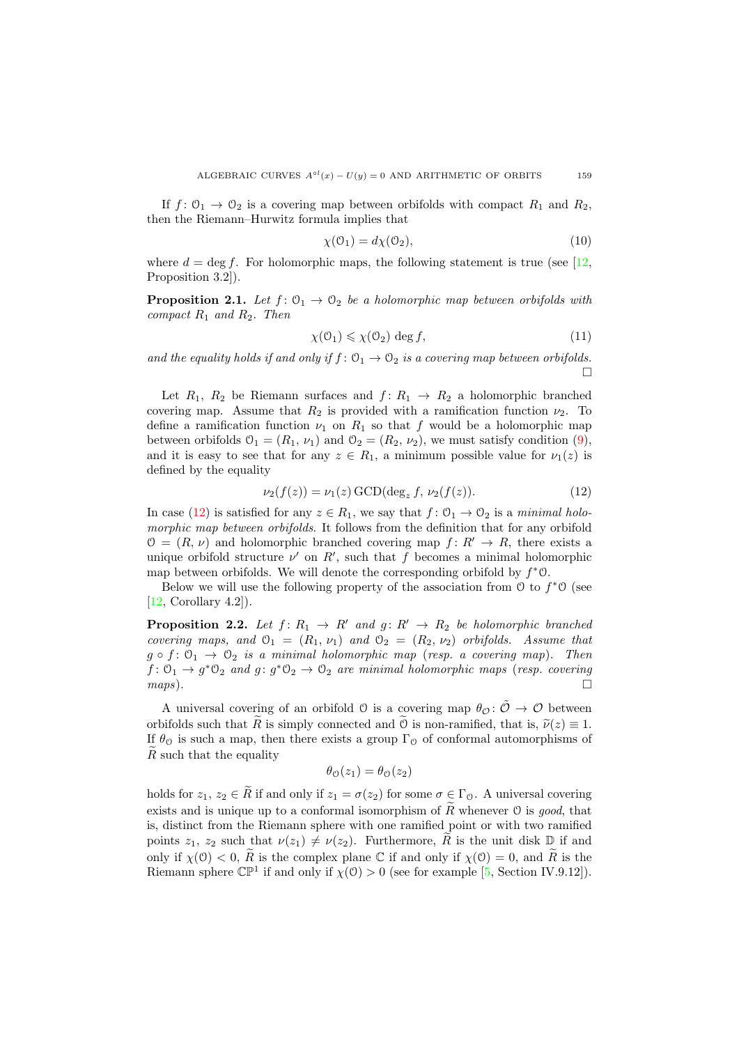If  $f: \mathcal{O}_1 \to \mathcal{O}_2$  is a covering map between orbifolds with compact  $R_1$  and  $R_2$ , then the Riemann–Hurwitz formula implies that

<span id="page-6-2"></span>
$$
\chi(\mathcal{O}_1) = d\chi(\mathcal{O}_2),\tag{10}
$$

where  $d = \deg f$ . For holomorphic maps, the following statement is true (see [\[12,](#page-30-5) Proposition 3.2]).

<span id="page-6-4"></span>**Proposition 2.1.** Let  $f: \mathcal{O}_1 \to \mathcal{O}_2$  be a holomorphic map between orbifolds with compact  $R_1$  and  $R_2$ . Then

<span id="page-6-3"></span>
$$
\chi(\mathcal{O}_1) \leq \chi(\mathcal{O}_2) \deg f,\tag{11}
$$

and the equality holds if and only if  $f: \mathcal{O}_1 \to \mathcal{O}_2$  is a covering map between orbifolds.  $\Box$ 

Let  $R_1$ ,  $R_2$  be Riemann surfaces and  $f: R_1 \rightarrow R_2$  a holomorphic branched covering map. Assume that  $R_2$  is provided with a ramification function  $\nu_2$ . To define a ramification function  $\nu_1$  on  $R_1$  so that f would be a holomorphic map between orbifolds  $\mathcal{O}_1 = (R_1, \nu_1)$  and  $\mathcal{O}_2 = (R_2, \nu_2)$ , we must satisfy condition [\(9\)](#page-5-2), and it is easy to see that for any  $z \in R_1$ , a minimum possible value for  $\nu_1(z)$  is defined by the equality

<span id="page-6-0"></span>
$$
\nu_2(f(z)) = \nu_1(z) \,\text{GCD}(\deg_z f, \nu_2(f(z)).\tag{12}
$$

In case [\(12\)](#page-6-0) is satisfied for any  $z \in R_1$ , we say that  $f: \mathcal{O}_1 \to \mathcal{O}_2$  is a minimal holomorphic map between orbifolds. It follows from the definition that for any orbifold  $\mathcal{O} = (R, \nu)$  and holomorphic branched covering map  $f: R' \to R$ , there exists a unique orbifold structure  $\nu'$  on  $R'$ , such that f becomes a minimal holomorphic map between orbifolds. We will denote the corresponding orbifold by  $f^*0$ .

Below we will use the following property of the association from  $\theta$  to  $f^*\theta$  (see [\[12,](#page-30-5) Corollary 4.2]).

<span id="page-6-1"></span>**Proposition 2.2.** Let  $f: R_1 \rightarrow R'$  and  $g: R' \rightarrow R_2$  be holomorphic branched covering maps, and  $\mathcal{O}_1 = (R_1, \nu_1)$  and  $\mathcal{O}_2 = (R_2, \nu_2)$  orbifolds. Assume that  $g \circ f: \mathcal{O}_1 \to \mathcal{O}_2$  is a minimal holomorphic map (resp. a covering map). Then  $f: \mathcal{O}_1 \to g^* \mathcal{O}_2$  and  $g: g^* \mathcal{O}_2 \to \mathcal{O}_2$  are minimal holomorphic maps (resp. covering  $maps$ ).

A universal covering of an orbifold  $\mathcal O$  is a covering map  $\theta_{\mathcal O}$ :  $\tilde{\mathcal O} \to \mathcal O$  between orbifolds such that R is simply connected and  $\hat{O}$  is non-ramified, that is,  $\tilde{\nu}(z) \equiv 1$ . If  $\theta_{\mathcal{O}}$  is such a map, then there exists a group  $\Gamma_{\mathcal{O}}$  of conformal automorphisms of  $\tilde{R}$  such that the equality

$$
\theta_{\mathcal{O}}(z_1) = \theta_{\mathcal{O}}(z_2)
$$

holds for  $z_1, z_2 \in \tilde{R}$  if and only if  $z_1 = \sigma(z_2)$  for some  $\sigma \in \Gamma_0$ . A universal covering exists and is unique up to a conformal isomorphism of  $\widetilde{R}$  whenever  $\mathcal O$  is good, that is, distinct from the Riemann sphere with one ramified point or with two ramified points  $z_1$ ,  $z_2$  such that  $\nu(z_1) \neq \nu(z_2)$ . Furthermore,  $\widetilde{R}$  is the unit disk  $\mathbb D$  if and only if  $\chi(0) < 0$ ,  $\tilde{R}$  is the complex plane C if and only if  $\chi(0) = 0$ , and  $\tilde{R}$  is the Riemann sphere  $\mathbb{CP}^1$  if and only if  $\chi(0) > 0$  (see for example [\[5,](#page-30-15) Section IV.9.12]).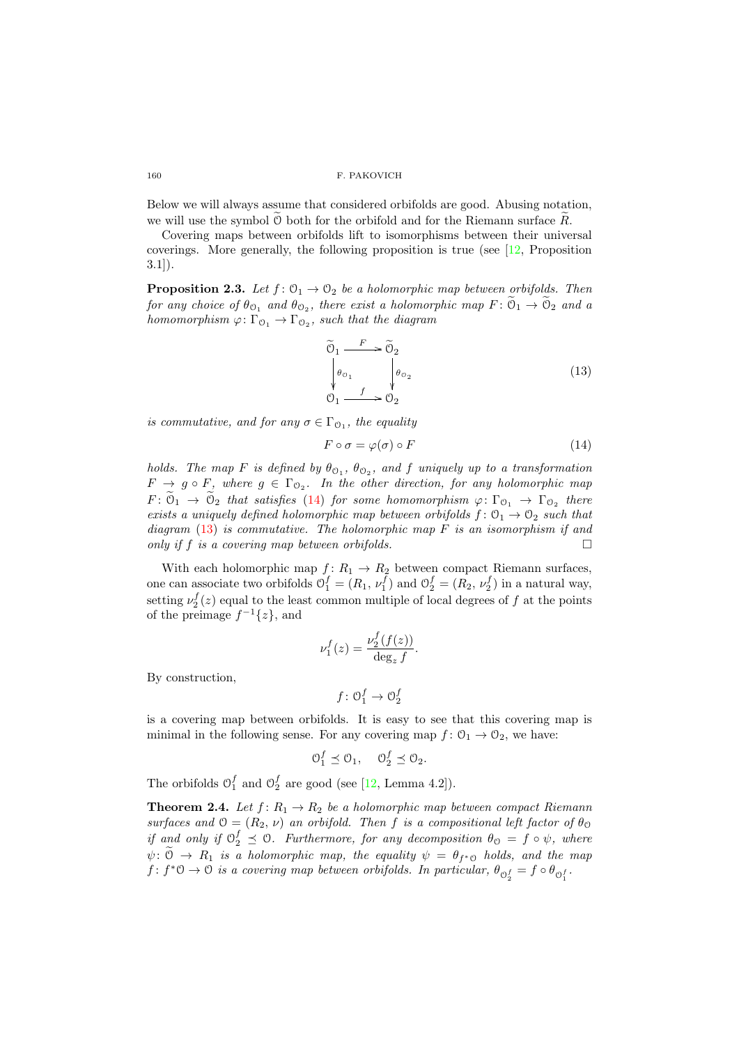Below we will always assume that considered orbifolds are good. Abusing notation, we will use the symbol  $\mathcal O$  both for the orbifold and for the Riemann surface  $R$ .

Covering maps between orbifolds lift to isomorphisms between their universal coverings. More generally, the following proposition is true (see  $[12, P$ roposition 3.1]).

<span id="page-7-3"></span>**Proposition 2.3.** Let  $f: \mathcal{O}_1 \to \mathcal{O}_2$  be a holomorphic map between orbifolds. Then for any choice of  $\theta_{0_1}$  and  $\theta_{0_2}$ , there exist a holomorphic map  $F: \mathcal{O}_1 \to \mathcal{O}_2$  and a homomorphism  $\varphi: \Gamma_{\mathcal{O}_1} \to \Gamma_{\mathcal{O}_2}$ , such that the diagram

<span id="page-7-1"></span>
$$
\widetilde{\Theta}_1 \xrightarrow{F} \widetilde{\Theta}_2
$$
\n
$$
\begin{vmatrix}\n\theta_{0_1} & \theta_{0_2} \\
f & \searrow \\
0_1 & f & \nearrow\n\end{vmatrix}
$$
\n(13)

is commutative, and for any  $\sigma \in \Gamma_{\mathcal{O}_1}$ , the equality

<span id="page-7-0"></span>
$$
F \circ \sigma = \varphi(\sigma) \circ F \tag{14}
$$

holds. The map F is defined by  $\theta_{\mathcal{O}_1}$ ,  $\theta_{\mathcal{O}_2}$ , and f uniquely up to a transformation  $F \to g \circ F$ , where  $g \in \Gamma_{\mathcal{O}_2}$ . In the other direction, for any holomorphic map  $F: \mathcal{O}_1 \to \mathcal{O}_2$  that satisfies [\(14\)](#page-7-0) for some homomorphism  $\varphi: \Gamma_{\mathcal{O}_1} \to \Gamma_{\mathcal{O}_2}$  there exists a uniquely defined holomorphic map between orbifolds  $f: \mathcal{O}_1 \to \mathcal{O}_2$  such that diagram  $(13)$  is commutative. The holomorphic map F is an isomorphism if and only if f is a covering map between orbifolds.

With each holomorphic map  $f: R_1 \to R_2$  between compact Riemann surfaces, one can associate two orbifolds  $\mathcal{O}_1^f = (R_1, \nu_1^f)$  and  $\mathcal{O}_2^f = (R_2, \nu_2^f)$  in a natural way, setting  $\nu_2^f(z)$  equal to the least common multiple of local degrees of f at the points of the preimage  $f^{-1}{z}$ , and

$$
\nu_1^f(z) = \frac{\nu_2^f(f(z))}{\deg_z f}.
$$

By construction,

$$
f\colon \mathcal{O}^f_1\to \mathcal{O}^f_2
$$

is a covering map between orbifolds. It is easy to see that this covering map is minimal in the following sense. For any covering map  $f: \mathcal{O}_1 \to \mathcal{O}_2$ , we have:

$$
\mathcal{O}_1^f \preceq \mathcal{O}_1, \quad \mathcal{O}_2^f \preceq \mathcal{O}_2.
$$

The orbifolds  $\mathcal{O}_1^f$  and  $\mathcal{O}_2^f$  are good (see [\[12,](#page-30-5) Lemma 4.2]).

<span id="page-7-2"></span>**Theorem 2.4.** Let  $f: R_1 \to R_2$  be a holomorphic map between compact Riemann surfaces and  $\mathcal{O} = (R_2, \nu)$  an orbifold. Then f is a compositional left factor of  $\theta_{\mathcal{O}}$ if and only if  $\Theta_2^f \preceq \Theta$ . Furthermore, for any decomposition  $\theta_{\Theta} = f \circ \psi$ , where  $\psi: \mathcal{O} \to R_1$  is a holomorphic map, the equality  $\psi = \theta_{f^*0}$  holds, and the map  $f: f^*\mathcal{O} \to \mathcal{O}$  is a covering map between orbifolds. In particular,  $\theta_{\mathcal{O}_2^f} = f \circ \theta_{\mathcal{O}_1^f}$ .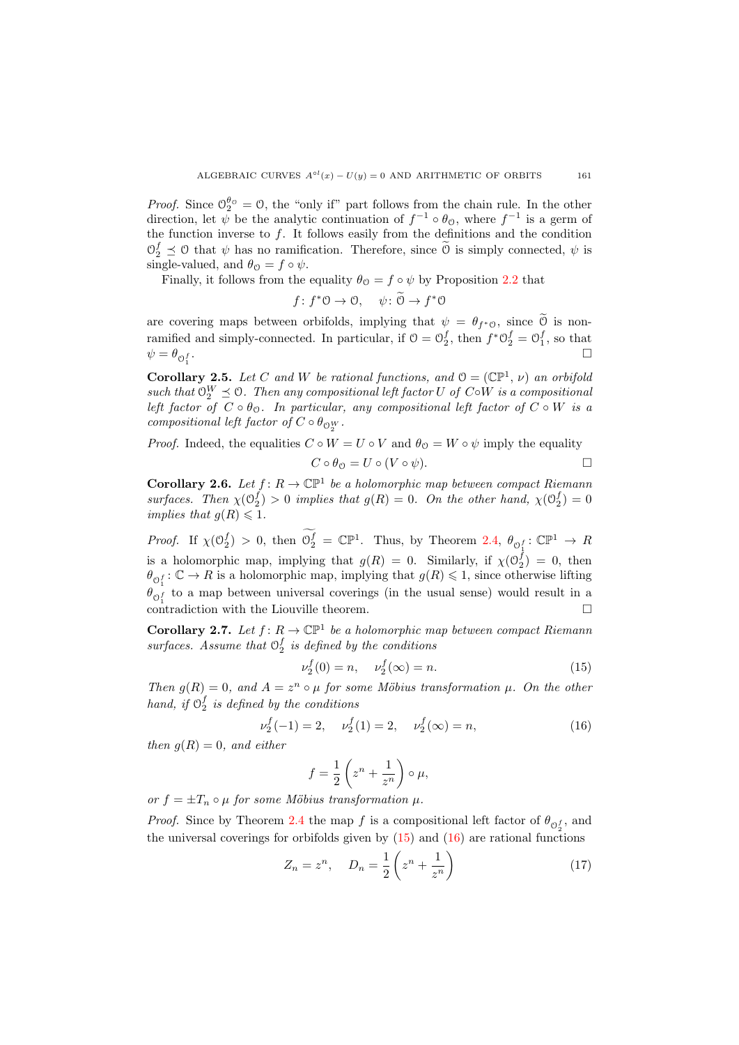*Proof.* Since  $\mathcal{O}_2^{\theta_{\mathcal{O}}} = \mathcal{O}$ , the "only if" part follows from the chain rule. In the other direction, let  $\psi$  be the analytic continuation of  $f^{-1} \circ \theta_{\mathcal{O}}$ , where  $f^{-1}$  is a germ of the function inverse to  $f$ . It follows easily from the definitions and the condition  $\mathcal{O}_2^f \preceq \mathcal{O}$  that  $\psi$  has no ramification. Therefore, since  $\widetilde{\mathcal{O}}$  is simply connected,  $\psi$  is single-valued, and  $\theta_{\mathcal{O}} = f \circ \psi$ .

Finally, it follows from the equality  $\theta_{\mathcal{O}} = f \circ \psi$  by Proposition [2.2](#page-6-1) that

$$
f: f^*0 \to 0, \quad \psi: \widetilde{\Theta} \to f^*\Theta
$$

are covering maps between orbifolds, implying that  $\psi = \theta_{f^*0}$ , since  $\theta$  is nonramified and simply-connected. In particular, if  $\mathcal{O} = \mathcal{O}_2^f$ , then  $f^* \mathcal{O}_2^f = \mathcal{O}_1^f$ , so that  $\psi = \theta_{\mathcal{O}_1^f}$ .

<span id="page-8-4"></span>**Corollary 2.5.** Let C and W be rational functions, and  $\mathcal{O} = (\mathbb{CP}^1, \nu)$  an orbifold such that  $\mathcal{O}_2^W \preceq \mathcal{O}$ . Then any compositional left factor U of C∘W is a compositional left factor of  $C \circ \theta_0$ . In particular, any compositional left factor of  $C \circ W$  is a compositional left factor of  $C \circ \theta_{\text{O}_{2}^{W}}$ .

*Proof.* Indeed, the equalities  $C \circ W = U \circ V$  and  $\theta_{\mathcal{O}} = W \circ \psi$  imply the equality  $C \circ \theta_{\Omega} = U \circ (V \circ \psi).$ 

<span id="page-8-2"></span>**Corollary 2.6.** Let  $f: R \to \mathbb{CP}^1$  be a holomorphic map between compact Riemann surfaces. Then  $\chi(\mathcal{O}_2^f) > 0$  implies that  $g(R) = 0$ . On the other hand,  $\chi(\mathcal{O}_2^f) = 0$ implies that  $g(R) \leq 1$ .

*Proof.* If  $\chi(\mathbb{O}_2^f) > 0$ , then  $\mathbb{O}_2^f = \mathbb{CP}^1$ . Thus, by Theorem [2.4,](#page-7-2)  $\theta_{\mathbb{O}_1^f} : \mathbb{CP}^1 \to R$ is a holomorphic map, implying that  $g(R) = 0$ . Similarly, if  $\chi(\mathcal{O}_2^f) = 0$ , then  $\theta_{\text{O}_1^f} : \mathbb{C} \to R$  is a holomorphic map, implying that  $g(R) \leq 1$ , since otherwise lifting  $\theta_{0}^{t}$  to a map between universal coverings (in the usual sense) would result in a  $\overline{\text{3}}$  contradiction with the Liouville theorem.

<span id="page-8-3"></span>**Corollary 2.7.** Let  $f: R \to \mathbb{C}P^1$  be a holomorphic map between compact Riemann surfaces. Assume that  $\mathcal{O}_2^f$  is defined by the conditions

<span id="page-8-0"></span>
$$
\nu_2^f(0) = n, \quad \nu_2^f(\infty) = n. \tag{15}
$$

Then  $g(R) = 0$ , and  $A = z^n \circ \mu$  for some Möbius transformation  $\mu$ . On the other hand, if  $\mathcal{O}_2^f$  is defined by the conditions

<span id="page-8-1"></span>
$$
\nu_2^f(-1) = 2, \quad \nu_2^f(1) = 2, \quad \nu_2^f(\infty) = n,\tag{16}
$$

then  $g(R) = 0$ , and either

$$
f = \frac{1}{2} \left( z^n + \frac{1}{z^n} \right) \circ \mu,
$$

or  $f = \pm T_n \circ \mu$  for some Möbius transformation  $\mu$ .

*Proof.* Since by Theorem [2.4](#page-7-2) the map f is a compositional left factor of  $\theta_{\mathcal{O}_2^f}$ , and the universal coverings for orbifolds given by  $(15)$  and  $(16)$  are rational functions

<span id="page-8-5"></span>
$$
Z_n = z^n, \quad D_n = \frac{1}{2} \left( z^n + \frac{1}{z^n} \right) \tag{17}
$$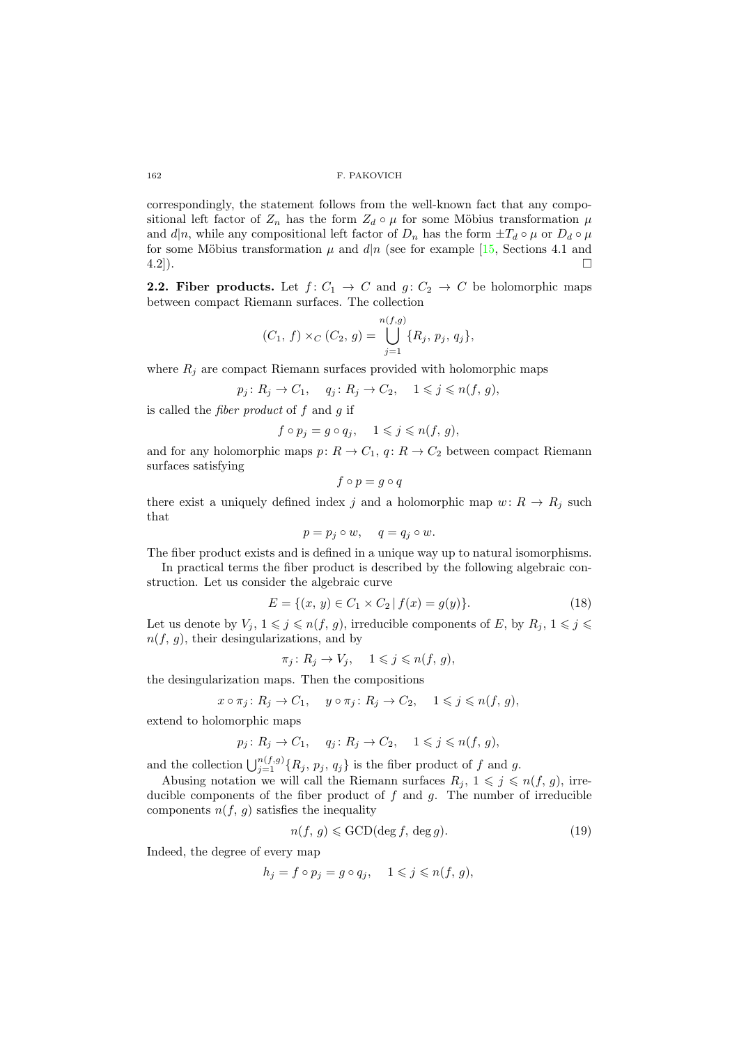correspondingly, the statement follows from the well-known fact that any compositional left factor of  $Z_n$  has the form  $Z_d \circ \mu$  for some Möbius transformation  $\mu$ and  $d|n$ , while any compositional left factor of  $D_n$  has the form  $\pm T_d \circ \mu$  or  $D_d \circ \mu$ for some Möbius transformation  $\mu$  and  $d|n$  (see for example [\[15,](#page-30-16) Sections 4.1 and  $(4.2)$ ).

**2.2. Fiber products.** Let  $f: C_1 \rightarrow C$  and  $g: C_2 \rightarrow C$  be holomorphic maps between compact Riemann surfaces. The collection

$$
(C_1, f) \times_C (C_2, g) = \bigcup_{j=1}^{n(f,g)} \{R_j, p_j, q_j\},\
$$

where  $R_j$  are compact Riemann surfaces provided with holomorphic maps

$$
p_j: R_j \to C_1, \quad q_j: R_j \to C_2, \quad 1 \leqslant j \leqslant n(f, g),
$$

is called the *fiber product* of  $f$  and  $g$  if

$$
f \circ p_j = g \circ q_j, \quad 1 \leqslant j \leqslant n(f, g),
$$

and for any holomorphic maps  $p: R \to C_1$ ,  $q: R \to C_2$  between compact Riemann surfaces satisfying

$$
f\circ p=g\circ q
$$

there exist a uniquely defined index j and a holomorphic map  $w: R \to R_j$  such that

$$
p = p_j \circ w, \quad q = q_j \circ w.
$$

The fiber product exists and is defined in a unique way up to natural isomorphisms.

In practical terms the fiber product is described by the following algebraic construction. Let us consider the algebraic curve

<span id="page-9-0"></span>
$$
E = \{(x, y) \in C_1 \times C_2 \mid f(x) = g(y)\}.
$$
\n(18)

Let us denote by  $V_j, 1 \leq j \leq n(f, g)$ , irreducible components of E, by  $R_j, 1 \leq j \leq j$  $n(f, g)$ , their desingularizations, and by

$$
\pi_j \colon R_j \to V_j, \quad 1 \leqslant j \leqslant n(f, g),
$$

the desingularization maps. Then the compositions

$$
x \circ \pi_j \colon R_j \to C_1, \quad y \circ \pi_j \colon R_j \to C_2, \quad 1 \leqslant j \leqslant n(f, g),
$$

extend to holomorphic maps

$$
p_j: R_j \to C_1, \quad q_j: R_j \to C_2, \quad 1 \leqslant j \leqslant n(f, g),
$$

and the collection  $\bigcup_{j=1}^{n(f,g)} \{R_j, p_j, q_j\}$  is the fiber product of f and g.

Abusing notation we will call the Riemann surfaces  $R_j$ ,  $1 \leqslant j \leqslant n(f, g)$ , irreducible components of the fiber product of  $f$  and  $g$ . The number of irreducible components  $n(f, g)$  satisfies the inequality

<span id="page-9-1"></span>
$$
n(f, g) \le \text{GCD}(\deg f, \deg g). \tag{19}
$$

Indeed, the degree of every map

$$
h_j = f \circ p_j = g \circ q_j, \quad 1 \leqslant j \leqslant n(f, g),
$$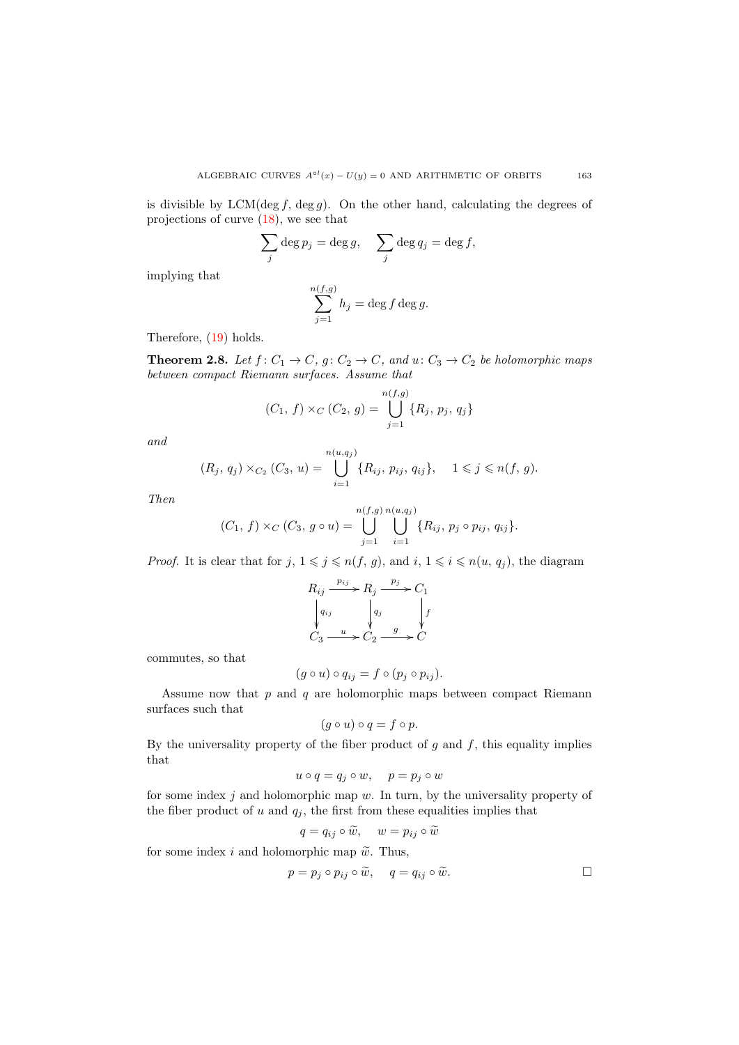is divisible by LCM(deg f, deg g). On the other hand, calculating the degrees of projections of curve [\(18\)](#page-9-0), we see that

$$
\sum_j \deg p_j = \deg g, \quad \sum_j \deg q_j = \deg f,
$$

implying that

$$
\sum_{j=1}^{n(f,g)} h_j = \deg f \deg g.
$$

Therefore, [\(19\)](#page-9-1) holds.

<span id="page-10-0"></span>**Theorem 2.8.** Let  $f: C_1 \to C$ ,  $g: C_2 \to C$ , and  $u: C_3 \to C_2$  be holomorphic maps between compact Riemann surfaces. Assume that

$$
(C_1, f) \times_C (C_2, g) = \bigcup_{j=1}^{n(f,g)} \{R_j, p_j, q_j\}
$$

and

$$
(R_j, q_j) \times_{C_2} (C_3, u) = \bigcup_{i=1}^{n(u, q_j)} \{R_{ij}, p_{ij}, q_{ij}\}, \quad 1 \leq j \leq n(f, g).
$$

Then

$$
(C_1, f) \times_C (C_3, g \circ u) = \bigcup_{j=1}^{n(f,g)} \bigcup_{i=1}^{n(u,g_j)} \{R_{ij}, p_j \circ p_{ij}, q_{ij}\}.
$$

*Proof.* It is clear that for  $j, 1 \leq j \leq n(f, g)$ , and  $i, 1 \leq i \leq n(u, q_j)$ , the diagram

$$
R_{ij} \xrightarrow{p_{ij}} R_j \xrightarrow{p_j} C_1
$$
  
\n
$$
\downarrow q_{ij} \qquad \qquad q_j \qquad \qquad \downarrow f
$$
  
\n
$$
C_3 \xrightarrow{u} C_2 \xrightarrow{g} C
$$

commutes, so that

$$
(g \circ u) \circ q_{ij} = f \circ (p_j \circ p_{ij}).
$$

Assume now that  $p$  and  $q$  are holomorphic maps between compact Riemann surfaces such that

$$
(g \circ u) \circ q = f \circ p.
$$

By the universality property of the fiber product of  $g$  and  $f$ , this equality implies that

$$
u \circ q = q_j \circ w, \quad p = p_j \circ w
$$

for some index  $j$  and holomorphic map  $w$ . In turn, by the universality property of the fiber product of u and  $q_i$ , the first from these equalities implies that

$$
q = q_{ij} \circ \widetilde{w}, \quad w = p_{ij} \circ \widetilde{w}
$$

for some index i and holomorphic map  $\tilde{w}$ . Thus,

$$
p = p_j \circ p_{ij} \circ \widetilde{w}, \quad q = q_{ij} \circ \widetilde{w}.
$$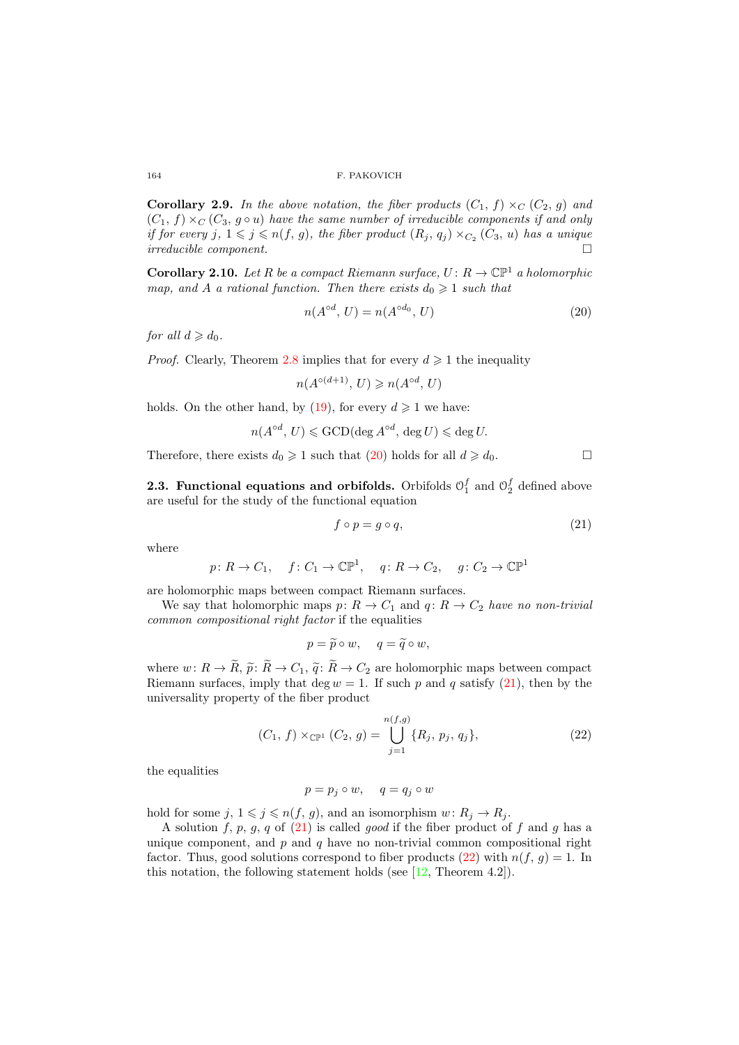<span id="page-11-3"></span>**Corollary 2.9.** In the above notation, the fiber products  $(C_1, f) \times_C (C_2, g)$  and  $(C_1, f) \times_C (C_3, g \circ u)$  have the same number of irreducible components if and only if for every j,  $1 \leqslant j \leqslant n(f, g)$ , the fiber product  $(R_j, q_j) \times_{C_2} (C_3, u)$  has a unique  $irreducible \ component.$ 

<span id="page-11-4"></span>**Corollary 2.10.** Let R be a compact Riemann surface,  $U: R \to \mathbb{CP}^1$  a holomorphic map, and A a rational function. Then there exists  $d_0 \geq 1$  such that

<span id="page-11-0"></span>
$$
n(A^{\circ d}, U) = n(A^{\circ d_0}, U) \tag{20}
$$

for all  $d \geqslant d_0$ .

*Proof.* Clearly, Theorem [2.8](#page-10-0) implies that for every  $d \geq 1$  the inequality

$$
n(A^{\circ(d+1)}, U) \geq n(A^{\circ d}, U)
$$

holds. On the other hand, by [\(19\)](#page-9-1), for every  $d \ge 1$  we have:

$$
n(A^{\circ d}, U) \leqslant \text{GCD}(\text{deg } A^{\circ d}, \text{ deg } U) \leqslant \text{deg } U.
$$

Therefore, there exists  $d_0 \geq 1$  such that [\(20\)](#page-11-0) holds for all  $d \geq d_0$ .

**2.3. Functional equations and orbifolds.** Orbifolds  $\mathcal{O}_1^f$  and  $\mathcal{O}_2^f$  defined above are useful for the study of the functional equation

<span id="page-11-1"></span>
$$
f \circ p = g \circ q,\tag{21}
$$

where

$$
p: R \to C_1
$$
,  $f: C_1 \to \mathbb{CP}^1$ ,  $q: R \to C_2$ ,  $g: C_2 \to \mathbb{CP}^1$ 

are holomorphic maps between compact Riemann surfaces.

We say that holomorphic maps  $p: R \to C_1$  and  $q: R \to C_2$  have no non-trivial common compositional right factor if the equalities

$$
p = \widetilde{p} \circ w, \quad q = \widetilde{q} \circ w,
$$

where  $w: R \to \tilde{R}, \tilde{p}: \tilde{R} \to C_1, \tilde{q}: \tilde{R} \to C_2$  are holomorphic maps between compact Riemann surfaces, imply that deg  $w = 1$ . If such p and q satisfy [\(21\)](#page-11-1), then by the universality property of the fiber product

<span id="page-11-2"></span>
$$
(C_1, f) \times_{\mathbb{CP}^1} (C_2, g) = \bigcup_{j=1}^{n(f,g)} \{R_j, p_j, q_j\},\tag{22}
$$

the equalities

$$
p = p_j \circ w, \quad q = q_j \circ w
$$

hold for some  $j, 1 \leq j \leq n(f, g)$ , and an isomorphism  $w: R_j \to R_j$ .

A solution  $f, p, g, q$  of  $(21)$  is called *good* if the fiber product of  $f$  and  $g$  has a unique component, and  $p$  and  $q$  have no non-trivial common compositional right factor. Thus, good solutions correspond to fiber products [\(22\)](#page-11-2) with  $n(f, g) = 1$ . In this notation, the following statement holds (see  $[12,$  Theorem 4.2]).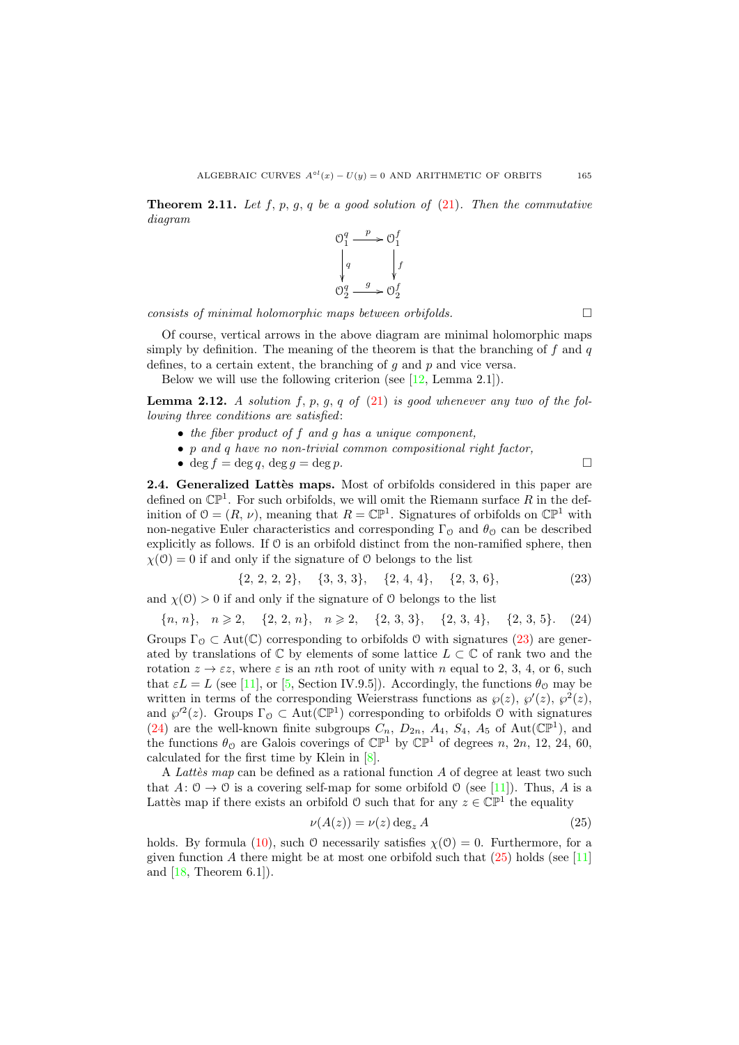<span id="page-12-3"></span>**Theorem 2.11.** Let f, p, g, q be a good solution of  $(21)$ . Then the commutative diagram



 $consists$  of minimal holomorphic maps between orbifolds.

Of course, vertical arrows in the above diagram are minimal holomorphic maps simply by definition. The meaning of the theorem is that the branching of  $f$  and  $q$ defines, to a certain extent, the branching of  $g$  and  $p$  and vice versa.

Below we will use the following criterion (see  $[12, \text{Lemma } 2.1]$ ).

<span id="page-12-4"></span>**Lemma 2.12.** A solution f, p, g, q of  $(21)$  is good whenever any two of the following three conditions are satisfied:

- the fiber product of f and g has a unique component,
- p and q have no non-trivial common compositional right factor,
- deg  $f = \deg q$ , deg  $q = \deg p$ .

<span id="page-12-5"></span>2.4. Generalized Lattès maps. Most of orbifolds considered in this paper are defined on  $\mathbb{CP}^1$ . For such orbifolds, we will omit the Riemann surface R in the definition of  $\mathcal{O} = (R, \nu)$ , meaning that  $R = \mathbb{CP}^1$ . Signatures of orbifolds on  $\mathbb{CP}^1$  with non-negative Euler characteristics and corresponding  $\Gamma_{\Omega}$  and  $\theta_{\Omega}$  can be described explicitly as follows. If  $\mathcal O$  is an orbifold distinct from the non-ramified sphere, then  $\chi(0) = 0$  if and only if the signature of 0 belongs to the list

<span id="page-12-0"></span>
$$
\{2, 2, 2, 2\}, \{3, 3, 3\}, \{2, 4, 4\}, \{2, 3, 6\}, \tag{23}
$$

and  $\chi(0) > 0$  if and only if the signature of O belongs to the list

<span id="page-12-1"></span> ${n, n}, n \geq 2, \quad {2, 2, n}, n \geq 2, \quad {2, 3, 3}, \quad {2, 3, 4}, \quad {2, 3, 5}.$  (24) Groups  $\Gamma_{\mathcal{O}} \subset \text{Aut}(\mathbb{C})$  corresponding to orbifolds 0 with signatures [\(23\)](#page-12-0) are generated by translations of  $\mathbb C$  by elements of some lattice  $L \subset \mathbb C$  of rank two and the rotation  $z \to \varepsilon z$ , where  $\varepsilon$  is an nth root of unity with n equal to 2, 3, 4, or 6, such that  $\varepsilon L = L$  (see [\[11\]](#page-30-10), or [\[5,](#page-30-15) Section IV.9.5]). Accordingly, the functions  $\theta_{\mathcal{O}}$  may be written in terms of the corresponding Weierstrass functions as  $\wp(z)$ ,  $\wp'(z)$ ,  $\wp^2(z)$ , and  $\wp^2(z)$ . Groups  $\Gamma_0 \subset \text{Aut}(\mathbb{CP}^1)$  corresponding to orbifolds 0 with signatures [\(24\)](#page-12-1) are the well-known finite subgroups  $C_n$ ,  $D_{2n}$ ,  $A_4$ ,  $S_4$ ,  $A_5$  of Aut( $\mathbb{CP}^1$ ), and the functions  $\theta_0$  are Galois coverings of  $\mathbb{CP}^1$  by  $\mathbb{CP}^1$  of degrees n, 2n, 12, 24, 60, calculated for the first time by Klein in [\[8\]](#page-30-17).

A Latter map can be defined as a rational function  $\tilde{A}$  of degree at least two such that  $A: \mathcal{O} \to \mathcal{O}$  is a covering self-map for some orbifold  $\mathcal{O}$  (see [\[11\]](#page-30-10)). Thus, A is a Lattès map if there exists an orbifold  $\theta$  such that for any  $z \in \mathbb{CP}^1$  the equality

<span id="page-12-2"></span>
$$
\nu(A(z)) = \nu(z) \deg_z A \tag{25}
$$

holds. By formula [\(10\)](#page-6-2), such 0 necessarily satisfies  $\chi(0) = 0$ . Furthermore, for a given function A there might be at most one orbifold such that  $(25)$  holds (see [\[11\]](#page-30-10) and  $[18,$  Theorem 6.1]).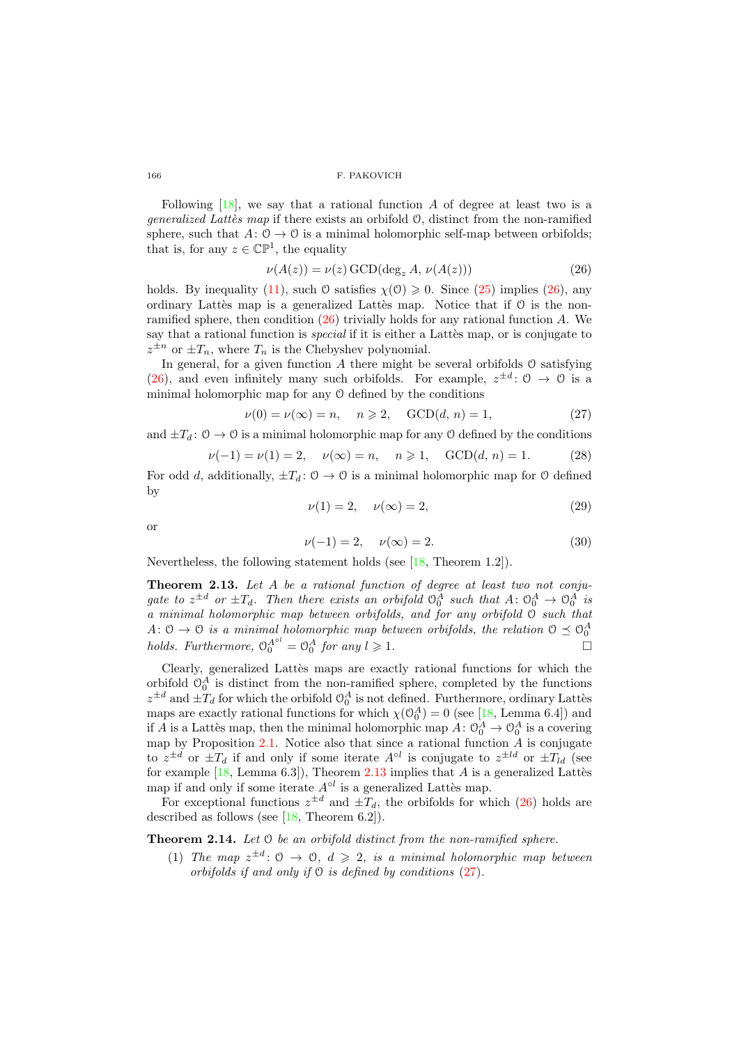Following  $[18]$ , we say that a rational function A of degree at least two is a *generalized Lattès map* if there exists an orbifold  $\mathcal{O}$ , distinct from the non-ramified sphere, such that  $A: \mathcal{O} \to \mathcal{O}$  is a minimal holomorphic self-map between orbifolds; that is, for any  $z \in \mathbb{CP}^1$ , the equality

<span id="page-13-0"></span>
$$
\nu(A(z)) = \nu(z) \text{ GCD}(\text{deg}_z A, \nu(A(z))) \tag{26}
$$

holds. By inequality [\(11\)](#page-6-3), such 0 satisfies  $\chi(0) \geq 0$ . Since [\(25\)](#page-12-2) implies [\(26\)](#page-13-0), any ordinary Lattès map is a generalized Lattès map. Notice that if  $\theta$  is the nonramified sphere, then condition  $(26)$  trivially holds for any rational function A. We say that a rational function is *special* if it is either a Lattès map, or is conjugate to  $z^{\pm n}$  or  $\pm T_n$ , where  $T_n$  is the Chebyshev polynomial.

In general, for a given function  $A$  there might be several orbifolds  $O$  satisfying [\(26\)](#page-13-0), and even infinitely many such orbifolds. For example,  $z^{\pm d}$ :  $0 \rightarrow 0$  is a minimal holomorphic map for any O defined by the conditions

<span id="page-13-2"></span>
$$
\nu(0) = \nu(\infty) = n, \quad n \geqslant 2, \quad \text{GCD}(d, n) = 1,\tag{27}
$$

and  $\pm T_d$ :  $0 \to 0$  is a minimal holomorphic map for any 0 defined by the conditions

<span id="page-13-3"></span>
$$
\nu(-1) = \nu(1) = 2, \quad \nu(\infty) = n, \quad n \ge 1, \quad \text{GCD}(d, n) = 1.
$$
 (28)

For odd d, additionally,  $\pm T_d$ :  $0 \rightarrow 0$  is a minimal holomorphic map for 0 defined by

<span id="page-13-4"></span>
$$
\nu(1) = 2, \quad \nu(\infty) = 2,\tag{29}
$$

or

<span id="page-13-5"></span>
$$
\nu(-1) = 2, \quad \nu(\infty) = 2. \tag{30}
$$

Nevertheless, the following statement holds (see [\[18,](#page-30-8) Theorem 1.2]).

<span id="page-13-1"></span>Theorem 2.13. Let A be a rational function of degree at least two not conjugate to  $z^{\pm d}$  or  $\pm T_d$ . Then there exists an orbifold  $\mathcal{O}_0^A$  such that  $A: \mathcal{O}_0^A \to \mathcal{O}_0^A$  is a minimal holomorphic map between orbifolds, and for any orbifold O such that  $A: \mathcal{O} \to \mathcal{O}$  is a minimal holomorphic map between orbifolds, the relation  $\mathcal{O} \preceq \mathcal{O}_0^A$ holds. Furthermore,  $\Theta_0^{A^{ol}} = \Theta_0^A$  for any  $l \geqslant 1$ .

Clearly, generalized Lattès maps are exactly rational functions for which the orbifold  $\mathcal{O}_0^A$  is distinct from the non-ramified sphere, completed by the functions  $z^{\pm d}$  and  $\pm T_d$  for which the orbifold  $\mathcal{O}_0^A$  is not defined. Furthermore, ordinary Lattes maps are exactly rational functions for which  $\chi(\mathcal{O}_0^A) = 0$  (see [\[18,](#page-30-8) Lemma 6.4]) and if A is a Lattes map, then the minimal holomorphic map  $A: \mathcal{O}_0^A \to \mathcal{O}_0^A$  is a covering map by Proposition [2.1.](#page-6-4) Notice also that since a rational function  $\ddot{A}$  is conjugate to  $z^{\pm d}$  or  $\pm T_d$  if and only if some iterate  $A^{\circ l}$  is conjugate to  $z^{\pm ld}$  or  $\pm T_{ld}$  (see for example  $[18, \text{Lemma 6.3}])$ , Theorem [2.13](#page-13-1) implies that A is a generalized Lattes map if and only if some iterate  $A^{\circ l}$  is a generalized Lattes map.

For exceptional functions  $z^{\pm d}$  and  $\pm T_d$ , the orbifolds for which [\(26\)](#page-13-0) holds are described as follows (see [\[18,](#page-30-8) Theorem 6.2]).

<span id="page-13-6"></span>Theorem 2.14. Let  $\odot$  be an orbifold distinct from the non-ramified sphere.

(1) The map  $z^{\pm d}$ :  $0 \rightarrow 0$ ,  $d \geq 2$ , is a minimal holomorphic map between orbifolds if and only if O is defined by conditions [\(27\)](#page-13-2).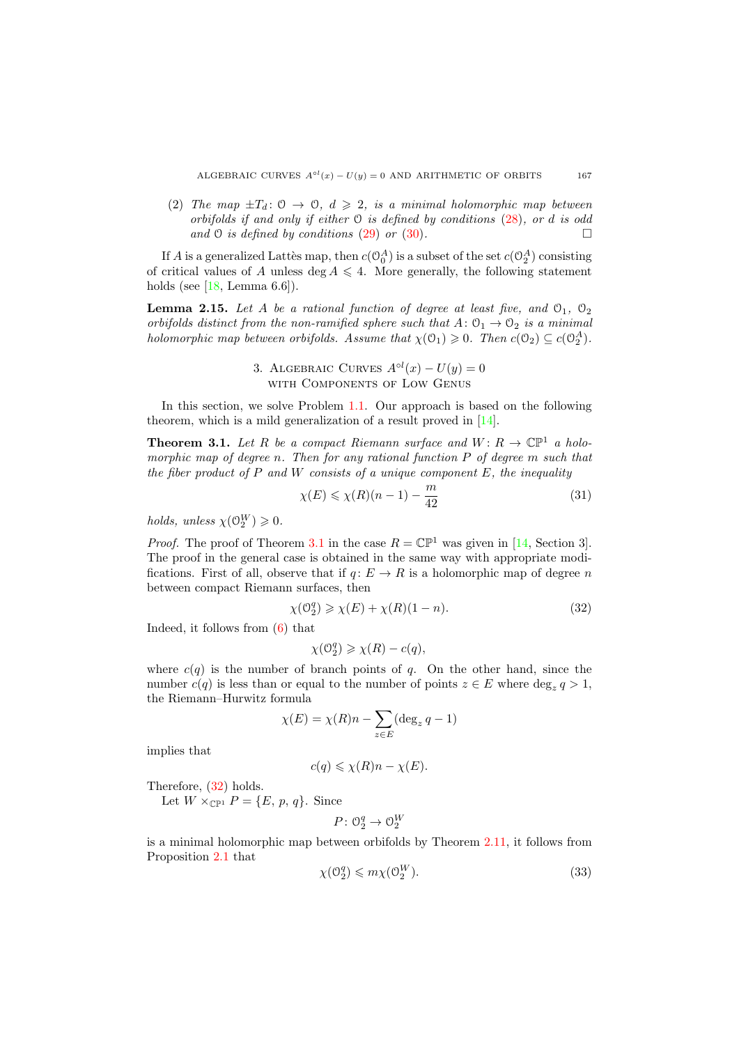(2) The map  $\pm T_d$ :  $0 \rightarrow 0$ ,  $d \geq 2$ , is a minimal holomorphic map between orbifolds if and only if either  $\mathcal O$  is defined by conditions  $(28)$ , or d is odd and  $\Theta$  is defined by conditions [\(29\)](#page-13-4) or [\(30\)](#page-13-5).

If A is a generalized Lattès map, then  $c(\mathbb{O}_0^A)$  is a subset of the set  $c(\mathbb{O}_2^A)$  consisting of critical values of A unless deg  $A \leq 4$ . More generally, the following statement holds (see  $[18, \text{Lemma } 6.6]$ ).

<span id="page-14-4"></span>**Lemma 2.15.** Let A be a rational function of degree at least five, and  $\mathcal{O}_1$ ,  $\mathcal{O}_2$ orbifolds distinct from the non-ramified sphere such that  $A: \mathcal{O}_1 \to \mathcal{O}_2$  is a minimal holomorphic map between orbifolds. Assume that  $\chi(\mathcal{O}_1) \geq 0$ . Then  $c(\mathcal{O}_2) \subseteq c(\mathcal{O}_2^A)$ .

> 3. ALGEBRAIC CURVES  $A^{\circ l}(x) - U(y) = 0$ with Components of Low Genus

In this section, we solve Problem [1.1.](#page-0-1) Our approach is based on the following theorem, which is a mild generalization of a result proved in [\[14\]](#page-30-1).

<span id="page-14-0"></span>**Theorem 3.1.** Let R be a compact Riemann surface and  $W: R \to \mathbb{CP}^1$  a holomorphic map of degree n. Then for any rational function P of degree m such that the fiber product of  $P$  and  $W$  consists of a unique component  $E$ , the inequality

<span id="page-14-3"></span>
$$
\chi(E) \le \chi(R)(n-1) - \frac{m}{42} \tag{31}
$$

holds, unless  $\chi(\mathcal{O}_2^W) \geq 0$ .

*Proof.* The proof of Theorem [3.1](#page-14-0) in the case  $R = \mathbb{CP}^1$  was given in [\[14,](#page-30-1) Section 3]. The proof in the general case is obtained in the same way with appropriate modifications. First of all, observe that if  $q: E \to R$  is a holomorphic map of degree n between compact Riemann surfaces, then

<span id="page-14-1"></span>
$$
\chi(\mathcal{O}_2^q) \geq \chi(E) + \chi(R)(1 - n). \tag{32}
$$

Indeed, it follows from [\(6\)](#page-5-3) that

$$
\chi(\mathcal{O}_2^q) \geq \chi(R) - c(q),
$$

where  $c(q)$  is the number of branch points of q. On the other hand, since the number  $c(q)$  is less than or equal to the number of points  $z \in E$  where  $\deg_z q > 1$ , the Riemann–Hurwitz formula

$$
\chi(E) = \chi(R)n - \sum_{z \in E} (\deg_z q - 1)
$$

implies that

$$
c(q) \leq \chi(R)n - \chi(E).
$$

Therefore, [\(32\)](#page-14-1) holds.

Let  $W \times_{\mathbb{CP}^1} P = \{E, p, q\}$ . Since

$$
P\colon \mathcal{O}_2^q\to \mathcal{O}_2^W
$$

is a minimal holomorphic map between orbifolds by Theorem [2.11,](#page-12-3) it follows from Proposition [2.1](#page-6-4) that  $\overline{X}$ 

<span id="page-14-2"></span>
$$
\chi(\mathcal{O}_2^q) \leqslant m\chi(\mathcal{O}_2^W). \tag{33}
$$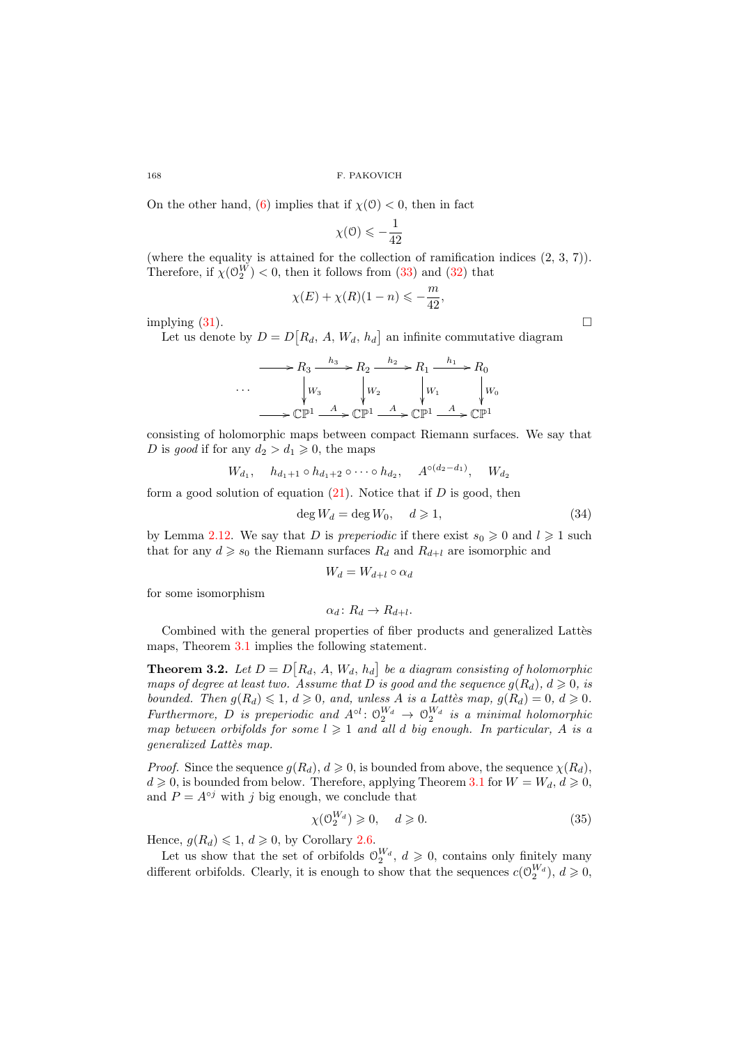On the other hand, [\(6\)](#page-5-3) implies that if  $\chi(0) < 0$ , then in fact

$$
\chi(\mathcal{O})\leqslant-\frac{1}{42}
$$

(where the equality is attained for the collection of ramification indices  $(2, 3, 7)$ ). Therefore, if  $\chi(\mathbb{O}_2^W) < 0$ , then it follows from [\(33\)](#page-14-2) and [\(32\)](#page-14-1) that

$$
\chi(E) + \chi(R)(1 - n) \leqslant -\frac{m}{42},
$$

implying  $(31)$ .

Let us denote by  $D = D[R_d, A, W_d, h_d]$  an infinite commutative diagram

$$
\cdots \longrightarrow R_3 \xrightarrow{h_3} R_2 \xrightarrow{h_2} R_1 \xrightarrow{h_1} R_0
$$
  
\n
$$
\cdots \qquad \downarrow W_3 \qquad \downarrow W_2 \qquad \downarrow W_1 \qquad \downarrow W_0
$$
  
\n
$$
\longrightarrow \mathbb{C}\mathbb{P}^1 \xrightarrow{A} \mathbb{C}\mathbb{P}^1 \xrightarrow{A} \mathbb{C}\mathbb{P}^1 \xrightarrow{A} \mathbb{C}\mathbb{P}^1
$$

consisting of holomorphic maps between compact Riemann surfaces. We say that D is good if for any  $d_2 > d_1 \geqslant 0$ , the maps

$$
W_{d_1}, \quad h_{d_1+1} \circ h_{d_1+2} \circ \cdots \circ h_{d_2}, \quad A^{\circ(d_2-d_1)}, \quad W_{d_2}
$$

form a good solution of equation  $(21)$ . Notice that if D is good, then

<span id="page-15-1"></span>
$$
\deg W_d = \deg W_0, \quad d \geqslant 1,\tag{34}
$$

by Lemma [2.12.](#page-12-4) We say that D is preperiodic if there exist  $s_0 \geq 0$  and  $l \geq 1$  such that for any  $d \geq s_0$  the Riemann surfaces  $R_d$  and  $R_{d+l}$  are isomorphic and

$$
W_d = W_{d+l} \circ \alpha_d
$$

for some isomorphism

$$
\alpha_d\colon R_d\to R_{d+l}.
$$

Combined with the general properties of fiber products and generalized Lattes maps, Theorem [3.1](#page-14-0) implies the following statement.

<span id="page-15-2"></span>**Theorem 3.2.** Let  $D = D[R_d, A, W_d, h_d]$  be a diagram consisting of holomorphic maps of degree at least two. Assume that D is good and the sequence  $g(R_d)$ ,  $d \geq 0$ , is bounded. Then  $g(R_d) \leq 1, d \geq 0$ , and, unless A is a Lattès map,  $g(R_d) = 0, d \geq 0$ . Furthermore, D is preperiodic and  $A^{\circ l}: \mathcal{O}_2^{W_d} \to \mathcal{O}_2^{W_d}$  is a minimal holomorphic map between orbifolds for some  $l \geqslant 1$  and all d big enough. In particular, A is a generalized Lattès map.

*Proof.* Since the sequence  $g(R_d)$ ,  $d \geq 0$ , is bounded from above, the sequence  $\chi(R_d)$ .  $d \geq 0$ , is bounded from below. Therefore, applying Theorem [3.1](#page-14-0) for  $W = W_d, d \geq 0$ , and  $P = A^{\circ j}$  with j big enough, we conclude that

<span id="page-15-0"></span>
$$
\chi(\mathcal{O}_2^{W_d}) \geq 0, \quad d \geq 0. \tag{35}
$$

Hence,  $g(R_d) \leq 1, d \geq 0$ , by Corollary [2.6.](#page-8-2)

Let us show that the set of orbifolds  $\mathcal{O}_2^{W_d}$ ,  $d \geqslant 0$ , contains only finitely many different orbifolds. Clearly, it is enough to show that the sequences  $c(\mathcal{O}_2^{W_d})$ ,  $d \geqslant 0$ ,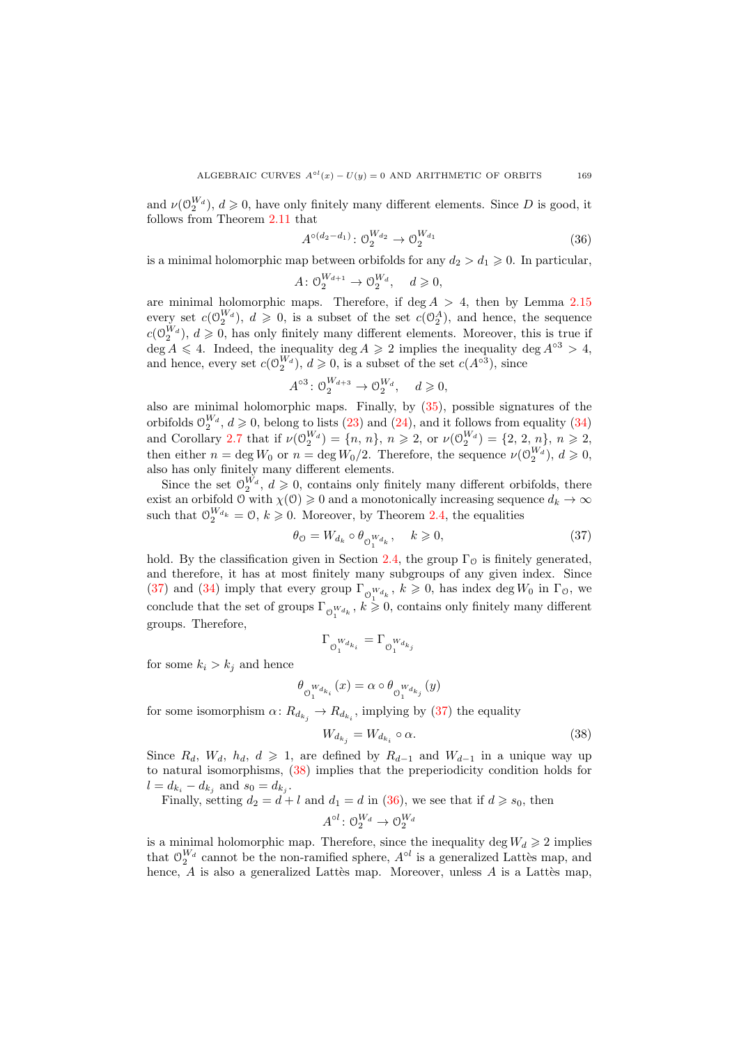and  $\nu(\mathbb{O}_2^{W_d})$ ,  $d \geqslant 0$ , have only finitely many different elements. Since D is good, it follows from Theorem [2.11](#page-12-3) that

<span id="page-16-2"></span>
$$
A^{\circ(d_2 - d_1)} \colon \mathcal{O}_2^{W_{d_2}} \to \mathcal{O}_2^{W_{d_1}} \tag{36}
$$

is a minimal holomorphic map between orbifolds for any  $d_2 > d_1 \geq 0$ . In particular,

$$
A: \mathcal{O}_2^{W_{d+1}} \to \mathcal{O}_2^{W_d}, \quad d \geqslant 0,
$$

are minimal holomorphic maps. Therefore, if deg  $A > 4$ , then by Lemma [2.15](#page-14-4) every set  $c(\mathbb{O}_2^{W_d})$ ,  $d \geq 0$ , is a subset of the set  $c(\mathbb{O}_2^A)$ , and hence, the sequence  $c(\mathbb{O}_2^{W_d})$ ,  $d \geqslant 0$ , has only finitely many different elements. Moreover, this is true if deg A  $\leq 4$ . Indeed, the inequality deg  $A \geq 2$  implies the inequality deg  $A^{\circ 3} > 4$ , and hence, every set  $c(\mathcal{O}_2^{W_d})$ ,  $d \geqslant 0$ , is a subset of the set  $c(A^{\circ 3})$ , since

$$
A^{\circ 3} \colon \mathcal{O}_2^{W_{d+3}} \to \mathcal{O}_2^{W_d}, \quad d \geqslant 0,
$$

also are minimal holomorphic maps. Finally, by [\(35\)](#page-15-0), possible signatures of the orbifolds  $\mathcal{O}_2^{W_d}$ ,  $d \geq 0$ , belong to lists [\(23\)](#page-12-0) and [\(24\)](#page-12-1), and it follows from equality [\(34\)](#page-15-1) and Corollary [2.7](#page-8-3) that if  $\nu(\mathbb{O}_2^{W_d}) = \{n, n\}, n \geq 2$ , or  $\nu(\mathbb{O}_2^{W_d}) = \{2, 2, n\}, n \geq 2$ , then either  $n = \deg W_0$  or  $n = \deg W_0/2$ . Therefore, the sequence  $\nu(\mathcal{O}_2^{W_d})$ ,  $d \geqslant 0$ , also has only finitely many different elements.

Since the set  $\mathcal{O}_2^{W_d}$ ,  $d \geqslant 0$ , contains only finitely many different orbifolds, there exist an orbifold  $\mathcal{O}$  with  $\chi(\mathcal{O}) \geq 0$  and a monotonically increasing sequence  $d_k \to \infty$ such that  $\mathcal{O}_2^{W_{d_k}} = \mathcal{O}, k \geqslant 0$ . Moreover, by Theorem [2.4,](#page-7-2) the equalities

<span id="page-16-0"></span>
$$
\theta_{\mathcal{O}} = W_{d_k} \circ \theta_{\mathcal{O}_1^{W_{d_k}}}, \quad k \geqslant 0,
$$
\n
$$
(37)
$$

hold. By the classification given in Section [2.4,](#page-12-5) the group  $\Gamma_{\mathcal{O}}$  is finitely generated, and therefore, it has at most finitely many subgroups of any given index. Since [\(37\)](#page-16-0) and [\(34\)](#page-15-1) imply that every group  $\Gamma_{\bigcirc} w_{d_k}$ ,  $k \geq 0$ , has index deg  $W_0$  in  $\Gamma_{\bigcirc}$ , we conclude that the set of groups  $\Gamma_{\mathcal{O}_1^{W_{d_k}}}$ ,  $k \geq 0$ , contains only finitely many different groups. Therefore,

$$
\Gamma_{\mathcal{O}_1^{W_{d_{k_i}}}}=\Gamma_{\mathcal{O}_1^{W_{d_{k_j}}}}
$$

for some  $k_i > k_j$  and hence

$$
\theta_{\mathcal{O}_{1}^{W_{d_{k_{i}}}}}(x)=\alpha\circ\theta_{\mathcal{O}_{1}^{W_{d_{k_{j}}}}}(y)
$$

for some isomorphism  $\alpha \colon R_{d_{k_j}} \to R_{d_{k_i}}$ , implying by [\(37\)](#page-16-0) the equality

<span id="page-16-1"></span>
$$
W_{d_{k_j}} = W_{d_{k_i}} \circ \alpha. \tag{38}
$$

Since  $R_d$ ,  $W_d$ ,  $h_d$ ,  $d \geq 1$ , are defined by  $R_{d-1}$  and  $W_{d-1}$  in a unique way up to natural isomorphisms, [\(38\)](#page-16-1) implies that the preperiodicity condition holds for  $l = d_{k_i} - d_{k_j}$  and  $s_0 = d_{k_j}$ .

Finally, setting 
$$
d_2 = d + l
$$
 and  $d_1 = d$  in (36), we see that if  $d \ge s_0$ , then  

$$
A^{\circ l} : \mathcal{O}_2^{W_d} \to \mathcal{O}_2^{W_d}
$$

is a minimal holomorphic map. Therefore, since the inequality deg  $W_d \geq 2$  implies that  $\mathcal{O}_2^{W_d}$  cannot be the non-ramified sphere,  $A^{\circ l}$  is a generalized Lattès map, and hence,  $A$  is also a generalized Lattès map. Moreover, unless  $A$  is a Lattès map,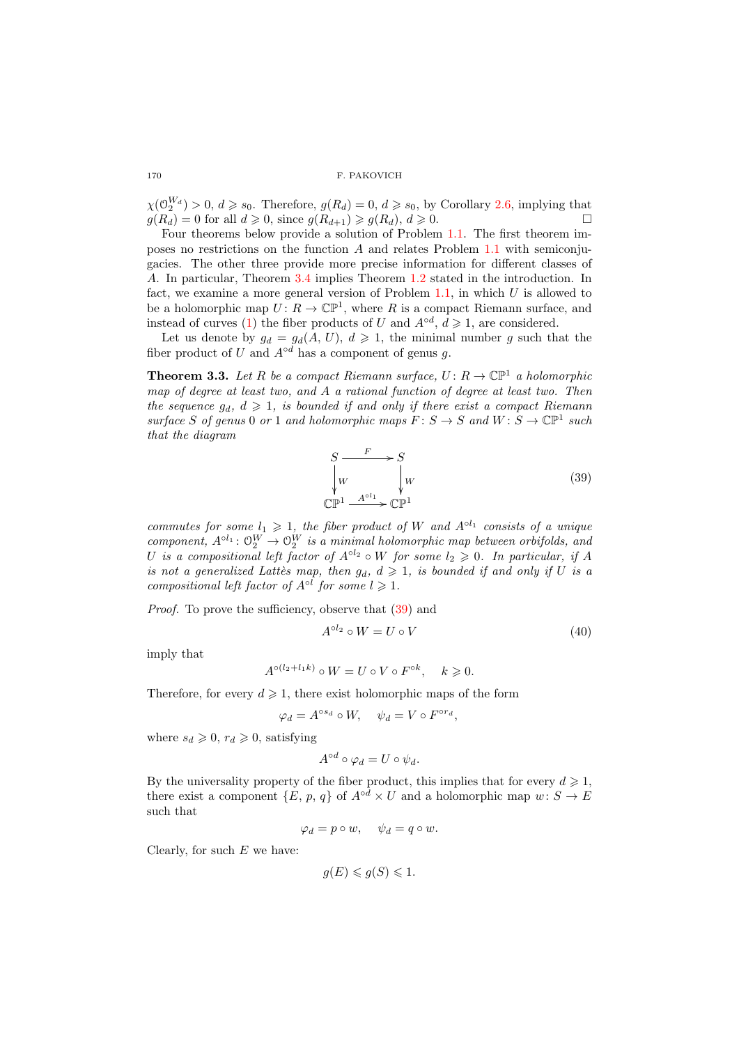$\chi(\mathcal{O}_2^{W_d}) > 0, d \geqslant s_0$ . Therefore,  $g(R_d) = 0, d \geqslant s_0$ , by Corollary [2.6,](#page-8-2) implying that  $g(R_d) = 0$  for all  $d \geq 0$ , since  $g(R_{d+1}) \geq g(R_d)$ ,  $d \geq 0$ .

Four theorems below provide a solution of Problem [1.1.](#page-0-1) The first theorem imposes no restrictions on the function A and relates Problem [1.1](#page-0-1) with semiconjugacies. The other three provide more precise information for different classes of A. In particular, Theorem [3.4](#page-19-0) implies Theorem [1.2](#page-3-0) stated in the introduction. In fact, we examine a more general version of Problem  $1.1$ , in which U is allowed to be a holomorphic map  $U: R \to \mathbb{CP}^1$ , where R is a compact Riemann surface, and instead of curves [\(1\)](#page-0-2) the fiber products of U and  $A^{\circ d}$ ,  $d \geq 1$ , are considered.

Let us denote by  $g_d = g_d(A, U)$ ,  $d \ge 1$ , the minimal number g such that the fiber product of U and  $A^{\circ d}$  has a component of genus q.

<span id="page-17-2"></span>**Theorem 3.3.** Let R be a compact Riemann surface,  $U: R \to \mathbb{CP}^1$  a holomorphic map of degree at least two, and A a rational function of degree at least two. Then the sequence  $g_d$ ,  $d \geq 1$ , is bounded if and only if there exist a compact Riemann surface S of genus 0 or 1 and holomorphic maps  $F: S \to S$  and  $W: S \to \mathbb{CP}^1$  such that the diagram

<span id="page-17-0"></span>
$$
S \xrightarrow{\ F \ } S
$$
  
\n
$$
W \qquad \downarrow W
$$
  
\n
$$
\mathbb{CP}^1 \xrightarrow{A^{\circ l_1}} \mathbb{CP}^1
$$
 (39)

commutes for some  $l_1 \geq 1$ , the fiber product of W and  $A^{\circ l_1}$  consists of a unique component,  $A^{\circ l_1}: \mathcal{O}_2^W \to \mathcal{O}_2^W$  is a minimal holomorphic map between orbifolds, and U is a compositional left factor of  $A^{\circ l_2} \circ W$  for some  $l_2 \geq 0$ . In particular, if A is not a generalized Lattès map, then  $g_d$ ,  $d \geq 1$ , is bounded if and only if U is a compositional left factor of  $A^{\circ l}$  for some  $l \geqslant 1$ .

Proof. To prove the sufficiency, observe that  $(39)$  and

<span id="page-17-1"></span>
$$
A^{\circ l_2} \circ W = U \circ V \tag{40}
$$

imply that

$$
A^{\circ(l_2+l_1k)} \circ W = U \circ V \circ F^{\circ k}, \quad k \geq 0.
$$

Therefore, for every  $d \geq 1$ , there exist holomorphic maps of the form

$$
\varphi_d = A^{\circ s_d} \circ W, \quad \psi_d = V \circ F^{\circ r_d},
$$

where  $s_d \geq 0$ ,  $r_d \geq 0$ , satisfying

$$
A^{\circ d} \circ \varphi_d = U \circ \psi_d.
$$

By the universality property of the fiber product, this implies that for every  $d \geq 1$ , there exist a component  $\{E, p, q\}$  of  $A^{\circ d} \times U$  and a holomorphic map  $w: S \to E$ such that

$$
\varphi_d = p \circ w, \quad \psi_d = q \circ w.
$$

Clearly, for such  $E$  we have:

$$
g(E) \leqslant g(S) \leqslant 1.
$$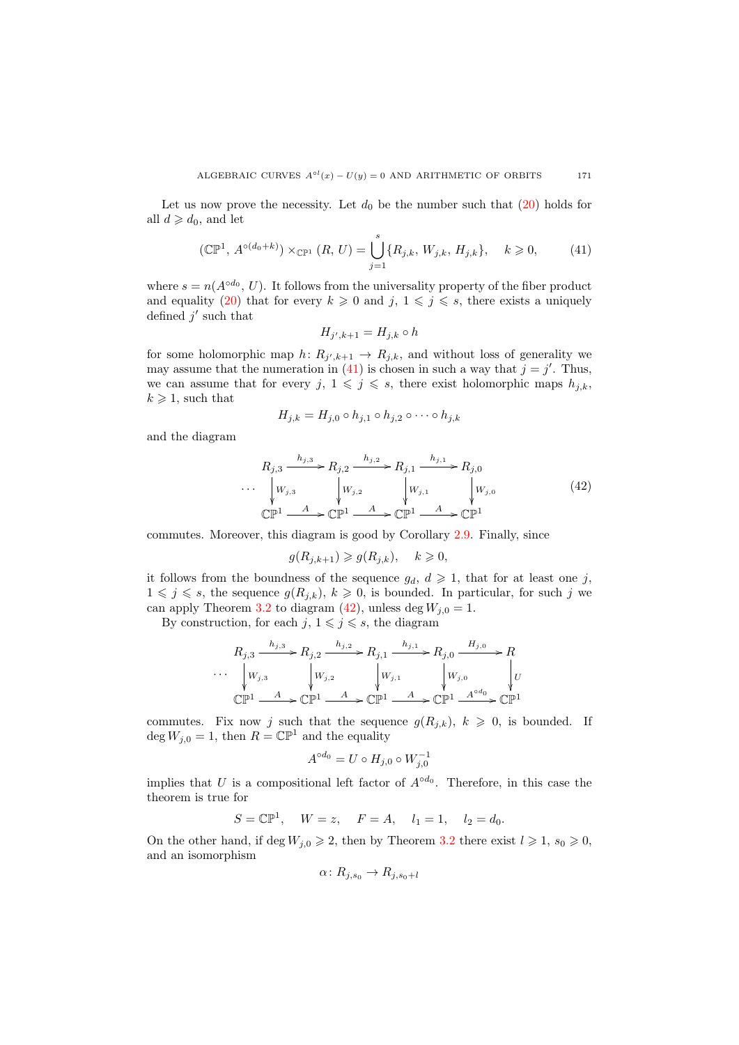Let us now prove the necessity. Let  $d_0$  be the number such that  $(20)$  holds for all  $d \geq d_0$ , and let

<span id="page-18-0"></span>
$$
(\mathbb{CP}^1, A^{\circ(d_0+k)}) \times_{\mathbb{CP}^1} (R, U) = \bigcup_{j=1}^s \{R_{j,k}, W_{j,k}, H_{j,k}\}, \quad k \geq 0,
$$
 (41)

where  $s = n(A^{\circ d_0}, U)$ . It follows from the universality property of the fiber product and equality [\(20\)](#page-11-0) that for every  $k \geq 0$  and  $j, 1 \leq j \leq s$ , there exists a uniquely defined  $j'$  such that

$$
H_{j',k+1} = H_{j,k} \circ h
$$

for some holomorphic map  $h: R_{j',k+1} \to R_{j,k}$ , and without loss of generality we may assume that the numeration in [\(41\)](#page-18-0) is chosen in such a way that  $j = j'$ . Thus, we can assume that for every  $j, 1 \leqslant j \leqslant s$ , there exist holomorphic maps  $h_{j,k}$ ,  $k \geq 1$ , such that

$$
H_{j,k} = H_{j,0} \circ h_{j,1} \circ h_{j,2} \circ \cdots \circ h_{j,k}
$$

and the diagram

<span id="page-18-1"></span>
$$
R_{j,3} \xrightarrow{h_{j,3}} R_{j,2} \xrightarrow{h_{j,2}} R_{j,1} \xrightarrow{h_{j,1}} R_{j,0}
$$
  
\n... 
$$
\downarrow W_{j,3} \qquad \qquad W_{j,2} \qquad \qquad W_{j,1} \qquad \qquad W_{j,0}
$$
  
\n
$$
\mathbb{CP}^1 \xrightarrow{A} \mathbb{CP}^1 \xrightarrow{A} \mathbb{CP}^1 \xrightarrow{A} \mathbb{CP}^1
$$
 (42)

commutes. Moreover, this diagram is good by Corollary [2.9.](#page-11-3) Finally, since

$$
g(R_{j,k+1}) \ge g(R_{j,k}), \quad k \ge 0,
$$

it follows from the boundness of the sequence  $g_d$ ,  $d \geq 1$ , that for at least one j,  $1 \leq j \leq s$ , the sequence  $g(R_{j,k}), k \geq 0$ , is bounded. In particular, for such j we can apply Theorem [3.2](#page-15-2) to diagram [\(42\)](#page-18-1), unless deg  $W_{i,0} = 1$ .

By construction, for each  $j, 1 \leq j \leq s$ , the diagram

$$
R_{j,3} \xrightarrow{h_{j,3}} R_{j,2} \xrightarrow{h_{j,2}} R_{j,1} \xrightarrow{h_{j,1}} R_{j,0} \xrightarrow{H_{j,0}} R
$$
  
\n
$$
\cdots \xrightarrow{\downarrow} W_{j,3} \qquad \qquad W_{j,2} \qquad \qquad W_{j,1} \qquad \qquad W_{j,0} \qquad \qquad W_{j}
$$
  
\n
$$
\mathbb{CP}^1 \xrightarrow{A} \mathbb{CP}^1 \xrightarrow{A} \mathbb{CP}^1 \xrightarrow{A} \mathbb{CP}^1 \xrightarrow{A^{\circ d_0} \mathbb{CP}^1} \mathbb{CP}^1
$$

commutes. Fix now j such that the sequence  $g(R_{j,k}), k \geq 0$ , is bounded. If deg  $W_{j,0} = 1$ , then  $R = \mathbb{CP}^1$  and the equality

$$
A^{\circ d_0} = U \circ H_{j,0} \circ W_{j,0}^{-1}
$$

implies that U is a compositional left factor of  $A^{\circ d_0}$ . Therefore, in this case the theorem is true for

$$
S = \mathbb{CP}^1
$$
,  $W = z$ ,  $F = A$ ,  $l_1 = 1$ ,  $l_2 = d_0$ .

On the other hand, if deg  $W_{j,0} \geq 2$ , then by Theorem [3.2](#page-15-2) there exist  $l \geq 1$ ,  $s_0 \geq 0$ , and an isomorphism

$$
\alpha\colon R_{j,s_0}\to R_{j,s_0+l}
$$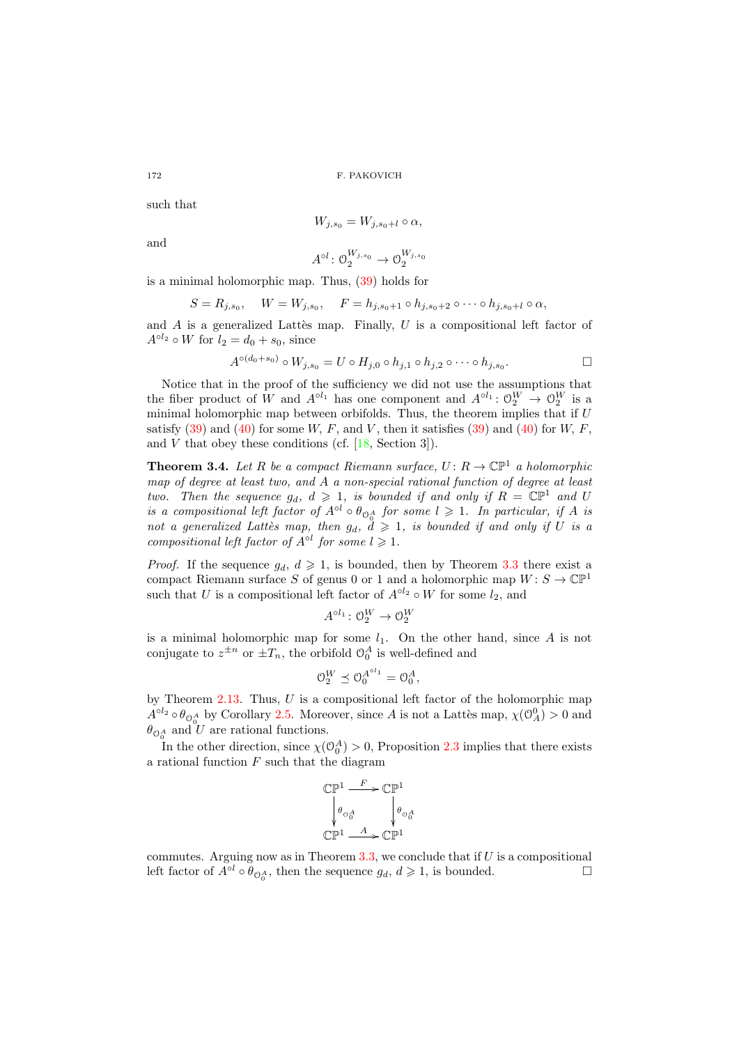such that

$$
W_{j,s_0}=W_{j,s_0+l}\circ\alpha,
$$

and

$$
A^{\circ l} \colon \mathcal{O}_2^{W_{j,s_0}} \to \mathcal{O}_2^{W_{j,s_0}}
$$

is a minimal holomorphic map. Thus, [\(39\)](#page-17-0) holds for

$$
S = R_{j,s_0}, \quad W = W_{j,s_0}, \quad F = h_{j,s_0+1} \circ h_{j,s_0+2} \circ \cdots \circ h_{j,s_0+l} \circ \alpha,
$$

and  $A$  is a generalized Lattes map. Finally,  $U$  is a compositional left factor of  $A^{\circ l_2} \circ W$  for  $l_2 = d_0 + s_0$ , since

$$
A^{\circ (d_0+s_0)} \circ W_{j,s_0} = U \circ H_{j,0} \circ h_{j,1} \circ h_{j,2} \circ \cdots \circ h_{j,s_0}.
$$

Notice that in the proof of the sufficiency we did not use the assumptions that the fiber product of W and  $A^{\circ l_1}$  has one component and  $A^{\circ l_1}$ :  $\mathcal{O}_2^W \to \mathcal{O}_2^W$  is a minimal holomorphic map between orbifolds. Thus, the theorem implies that if  $U$ satisfy  $(39)$  and  $(40)$  for some W, F, and V, then it satisfies  $(39)$  and  $(40)$  for W, F, and  $V$  that obey these conditions (cf.  $[18, Section 3]$ ).

<span id="page-19-0"></span>**Theorem 3.4.** Let R be a compact Riemann surface,  $U: R \to \mathbb{CP}^1$  a holomorphic map of degree at least two, and A a non-special rational function of degree at least two. Then the sequence  $g_d, d \geq 1$ , is bounded if and only if  $R = \mathbb{CP}^1$  and U is a compositional left factor of  $A^{\circ l} \circ \theta_{\mathcal{O}_0^A}$  for some  $l \geq 1$ . In particular, if A is not a generalized Lattès map, then  $g_d$ ,  $d \geq 1$ , is bounded if and only if U is a compositional left factor of  $A^{\circ l}$  for some  $l \geqslant 1$ .

*Proof.* If the sequence  $g_d$ ,  $d \geq 1$ , is bounded, then by Theorem [3.3](#page-17-2) there exist a compact Riemann surface S of genus 0 or 1 and a holomorphic map  $W: S \to \mathbb{CP}^1$ such that U is a compositional left factor of  $A^{\circ l_2} \circ W$  for some  $l_2$ , and

$$
A^{\circ l_1} \colon \mathcal{O}_2^W \to \mathcal{O}_2^W
$$

is a minimal holomorphic map for some  $l_1$ . On the other hand, since A is not conjugate to  $z^{\pm n}$  or  $\pm T_n$ , the orbifold  $\mathcal{O}_0^A$  is well-defined and

$$
0_2^W \preceq 0_0^{A^{\circ l_1}} = 0_0^A,
$$

by Theorem  $2.13$ . Thus, U is a compositional left factor of the holomorphic map  $A^{\circ l_2} \circ \theta_{\mathcal{O}_0^A}$  by Corollary [2.5.](#page-8-4) Moreover, since A is not a Lattès map,  $\chi(\mathcal{O}_A^0) > 0$  and  $\theta_{\mathcal{O}_0^A}$  and U are rational functions.

In the other direction, since  $\chi(\mathcal{O}_0^A) > 0$ , Proposition [2.3](#page-7-3) implies that there exists a rational function  $F$  such that the diagram

$$
\begin{aligned} \mathbb{CP}^1 &\xrightarrow{F} \mathbb{CP}^1\\ \left.\begin{matrix}\theta_{0_A^A}\\ \end{matrix}\right. &\left.\begin{matrix}\theta_{0_A^A}\\ \end{matrix}\right.\\ \mathbb{CP}^1 &\xrightarrow{A} \mathbb{CP}^1 \end{aligned}
$$

commutes. Arguing now as in Theorem  $3.3$ , we conclude that if  $U$  is a compositional left factor of  $A^{\circ l} \circ \theta_{\mathcal{O}_0^A}$ , then the sequence  $g_d, d \geq 1$ , is bounded.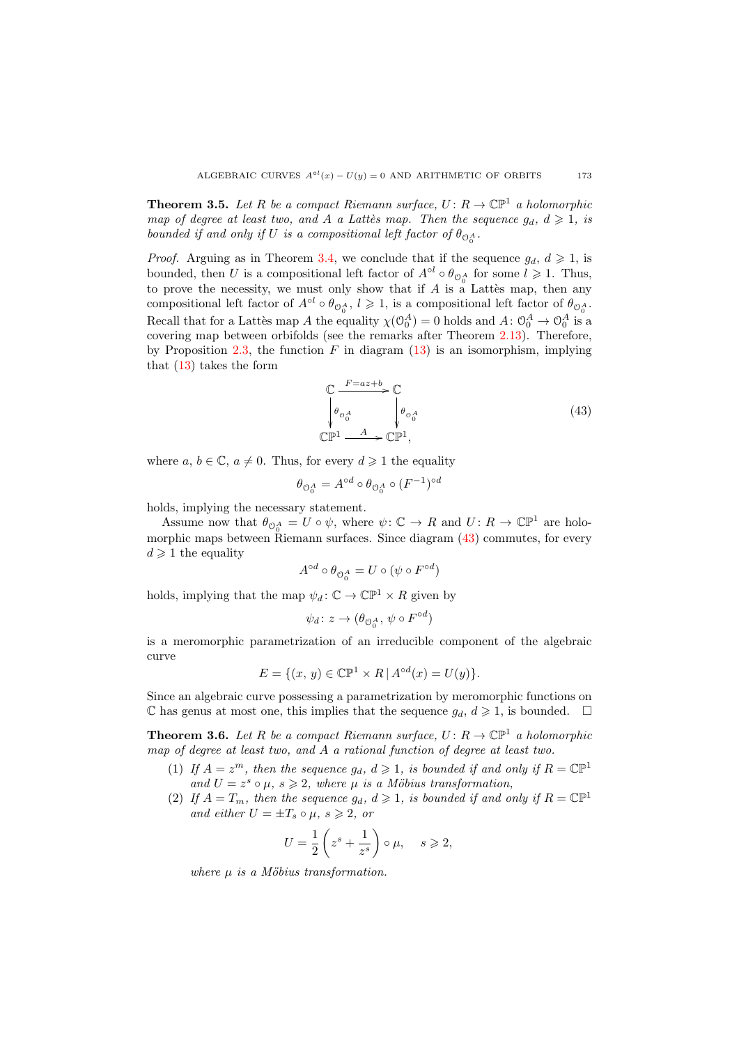**Theorem 3.5.** Let R be a compact Riemann surface,  $U: R \to \mathbb{CP}^1$  a holomorphic map of degree at least two, and A a Lattès map. Then the sequence  $g_d, d \geq 1$ , is bounded if and only if U is a compositional left factor of  $\theta_{\mathbb{O}_0^A}$ .

*Proof.* Arguing as in Theorem [3.4,](#page-19-0) we conclude that if the sequence  $g_d$ ,  $d \geq 1$ , is bounded, then U is a compositional left factor of  $A^{\circ l} \circ \theta_{\mathcal{O}_0^A}$  for some  $l \geq 1$ . Thus, to prove the necessity, we must only show that if  $A$  is a Lattes map, then any compositional left factor of  $A^{\circ l} \circ \theta_{\mathcal{O}_0^A}$ ,  $l \geq 1$ , is a compositional left factor of  $\theta_{\mathcal{O}_0^A}$ . Recall that for a Lattes map A the equality  $\chi(\mathcal{O}_0^A) = 0$  holds and  $A: \mathcal{O}_0^A \to \mathcal{O}_0^A$  is a covering map between orbifolds (see the remarks after Theorem [2.13\)](#page-13-1). Therefore, by Proposition [2.3,](#page-7-3) the function  $F$  in diagram [\(13\)](#page-7-1) is an isomorphism, implying that [\(13\)](#page-7-1) takes the form

<span id="page-20-0"></span>
$$
\begin{array}{ccc}\n\mathbb{C} & \xrightarrow{F=az+b} \mathbb{C} \\
\downarrow \theta_{\cup_{0}^{A}} & \downarrow \theta_{\cup_{0}^{A}} \\
\mathbb{C}\mathbb{P}^{1} & \xrightarrow{A} \mathbb{C}\mathbb{P}^{1},\n\end{array} (43)
$$

where  $a, b \in \mathbb{C}, a \neq 0$ . Thus, for every  $d \geq 1$  the equality

$$
\theta_{\mathcal{O}_0^A}=A^{\circ d}\circ \theta_{\mathcal{O}_0^A}\circ (F^{-1})^{\circ d}
$$

holds, implying the necessary statement.

Assume now that  $\theta_{\mathcal{O}_0^A} = U \circ \psi$ , where  $\psi \colon \mathbb{C} \to R$  and  $U \colon R \to \mathbb{CP}^1$  are holomorphic maps between Riemann surfaces. Since diagram  $(43)$  commutes, for every  $d \geq 1$  the equality

$$
A^{\circ d} \circ \theta_{\mathcal{O}_0^A} = U \circ (\psi \circ F^{\circ d})
$$

holds, implying that the map  $\psi_d : \mathbb{C} \to \mathbb{CP}^1 \times R$  given by

$$
\psi_d \colon z \to (\theta_{\mathcal{O}_0^A}, \, \psi \circ F^{\circ d})
$$

is a meromorphic parametrization of an irreducible component of the algebraic curve

$$
E = \{(x, y) \in \mathbb{CP}^1 \times R \mid A^{\circ d}(x) = U(y)\}.
$$

Since an algebraic curve possessing a parametrization by meromorphic functions on  $\mathbb C$  has genus at most one, this implies that the sequence  $g_d, d \geq 1$ , is bounded.  $\Box$ 

**Theorem 3.6.** Let R be a compact Riemann surface,  $U: R \to \mathbb{CP}^1$  a holomorphic map of degree at least two, and A a rational function of degree at least two.

- (1) If  $A = z^m$ , then the sequence  $g_d$ ,  $d \geqslant 1$ , is bounded if and only if  $R = \mathbb{C} \mathbb{P}^1$ and  $U = z^s \circ \mu$ ,  $s \geq 2$ , where  $\mu$  is a Möbius transformation,
- (2) If  $A = T_m$ , then the sequence  $g_d$ ,  $d \geq 1$ , is bounded if and only if  $R = \mathbb{CP}^1$ and either  $U = \pm T_s \circ \mu$ ,  $s \geq 2$ , or

$$
U = \frac{1}{2} \left( z^s + \frac{1}{z^s} \right) \circ \mu, \quad s \geqslant 2,
$$

where  $\mu$  is a Möbius transformation.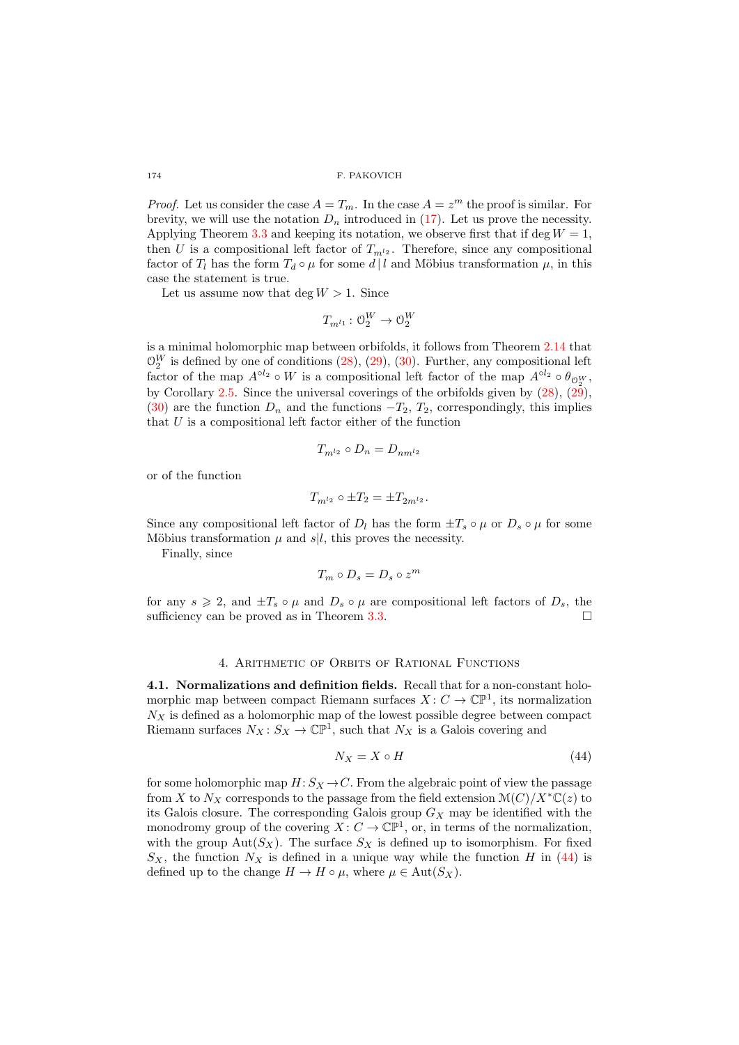*Proof.* Let us consider the case  $A = T_m$ . In the case  $A = z^m$  the proof is similar. For brevity, we will use the notation  $D_n$  introduced in [\(17\)](#page-8-5). Let us prove the necessity. Applying Theorem [3.3](#page-17-2) and keeping its notation, we observe first that if deg  $W = 1$ , then U is a compositional left factor of  $T_{m^2}$ . Therefore, since any compositional factor of  $T_l$  has the form  $T_d \circ \mu$  for some  $d \mid l$  and Möbius transformation  $\mu$ , in this case the statement is true.

Let us assume now that deg  $W > 1$ . Since

$$
T_{m^{l_1}}\colon \mathcal{O}_2^W\to \mathcal{O}_2^W
$$

is a minimal holomorphic map between orbifolds, it follows from Theorem [2.14](#page-13-6) that  $\mathcal{O}_2^W$  is defined by one of conditions  $(28)$ ,  $(29)$ ,  $(30)$ . Further, any compositional left factor of the map  $A^{\circ l_2} \circ W$  is a compositional left factor of the map  $A^{\circ l_2} \circ \theta_{\mathcal{O}_2^W}$ , by Corollary [2.5.](#page-8-4) Since the universal coverings of the orbifolds given by  $(28)$ ,  $(29)$ , [\(30\)](#page-13-5) are the function  $D_n$  and the functions  $-T_2, T_2$ , correspondingly, this implies that  $U$  is a compositional left factor either of the function

$$
T_{m^{l_2}} \circ D_n = D_{nm^{l_2}}
$$

or of the function

$$
T_{m^{l_2}}\circ \pm T_2=\pm T_{2m^{l_2}}.
$$

Since any compositional left factor of  $D_l$  has the form  $\pm T_s \circ \mu$  or  $D_s \circ \mu$  for some Möbius transformation  $\mu$  and  $s|l$ , this proves the necessity.

Finally, since

$$
T_m \circ D_s = D_s \circ z^m
$$

for any  $s \geq 2$ , and  $\pm T_s \circ \mu$  and  $D_s \circ \mu$  are compositional left factors of  $D_s$ , the sufficiency can be proved as in Theorem [3.3.](#page-17-2)

# 4. Arithmetic of Orbits of Rational Functions

4.1. Normalizations and definition fields. Recall that for a non-constant holomorphic map between compact Riemann surfaces  $X: C \to \mathbb{CP}^1$ , its normalization  $N_X$  is defined as a holomorphic map of the lowest possible degree between compact Riemann surfaces  $N_X : S_X \to \mathbb{CP}^1$ , such that  $N_X$  is a Galois covering and

<span id="page-21-0"></span>
$$
N_X = X \circ H \tag{44}
$$

for some holomorphic map  $H: S_X \to C$ . From the algebraic point of view the passage from X to  $N_X$  corresponds to the passage from the field extension  $\mathcal{M}(C)/X^*\mathbb{C}(z)$  to its Galois closure. The corresponding Galois group  $G_X$  may be identified with the monodromy group of the covering  $X: C \to \mathbb{C} \mathbb{P}^1$ , or, in terms of the normalization, with the group  $\text{Aut}(S_X)$ . The surface  $S_X$  is defined up to isomorphism. For fixed  $S_X$ , the function  $N_X$  is defined in a unique way while the function H in [\(44\)](#page-21-0) is defined up to the change  $H \to H \circ \mu$ , where  $\mu \in \text{Aut}(S_X)$ .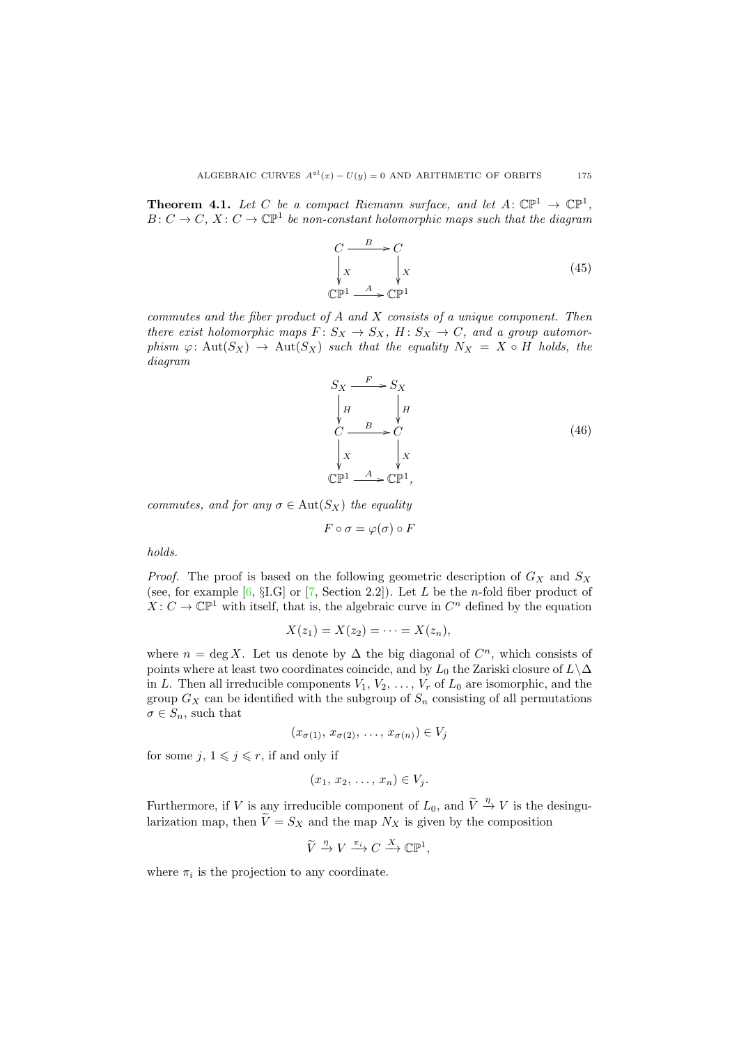<span id="page-22-2"></span>**Theorem 4.1.** Let C be a compact Riemann surface, and let  $A: \mathbb{CP}^1 \to \mathbb{CP}^1$ ,  $B: C \to C, X: C \to \mathbb{C} \mathbb{P}^1$  be non-constant holomorphic maps such that the diagram

<span id="page-22-1"></span>
$$
C \xrightarrow{B} C
$$
  
\n
$$
\downarrow x \qquad \qquad \downarrow x
$$
  
\n
$$
\mathbb{CP}^1 \xrightarrow{A} \mathbb{CP}^1
$$
\n(45)

commutes and the fiber product of  $A$  and  $X$  consists of a unique component. Then there exist holomorphic maps  $F: S_X \to S_X$ ,  $H: S_X \to C$ , and a group automorphism  $\varphi: \text{Aut}(S_X) \to \text{Aut}(S_X)$  such that the equality  $N_X = X \circ H$  holds, the diagram

<span id="page-22-0"></span>
$$
S_X \xrightarrow{F} S_X
$$
\n
$$
\downarrow H \qquad \downarrow H
$$
\n
$$
C \xrightarrow{B} C
$$
\n
$$
\downarrow X \qquad \downarrow X
$$
\n
$$
CP^1 \xrightarrow{A} CP^1,
$$
\n(46)

commutes, and for any  $\sigma \in \text{Aut}(S_X)$  the equality

$$
F\circ \sigma=\varphi(\sigma)\circ F
$$

holds.

*Proof.* The proof is based on the following geometric description of  $G_X$  and  $S_X$ (see, for example  $[6, § I.G]$  or  $[7, Section 2.2]$ ). Let L be the n-fold fiber product of  $X: C \to \mathbb{C} \mathbb{P}^1$  with itself, that is, the algebraic curve in  $C^n$  defined by the equation

$$
X(z_1)=X(z_2)=\cdots=X(z_n),
$$

where  $n = \deg X$ . Let us denote by  $\Delta$  the big diagonal of  $C<sup>n</sup>$ , which consists of points where at least two coordinates coincide, and by  $L_0$  the Zariski closure of  $L\setminus\Delta$ in L. Then all irreducible components  $V_1, V_2, \ldots, V_r$  of  $L_0$  are isomorphic, and the group  $G_X$  can be identified with the subgroup of  $S_n$  consisting of all permutations  $\sigma \in S_n$ , such that

$$
(x_{\sigma(1)}, x_{\sigma(2)}, \ldots, x_{\sigma(n)}) \in V_j
$$

for some  $j, 1 \leq j \leq r$ , if and only if

$$
(x_1, x_2, \ldots, x_n) \in V_j.
$$

Furthermore, if V is any irreducible component of  $L_0$ , and  $\widetilde{V} \stackrel{\eta}{\rightarrow} V$  is the desingularization map, then  $\widetilde{V} = S_X$  and the map  $N_X$  is given by the composition

$$
\widetilde{V} \xrightarrow{\eta} V \xrightarrow{\pi_i} C \xrightarrow{X} \mathbb{CP}^1,
$$

where  $\pi_i$  is the projection to any coordinate.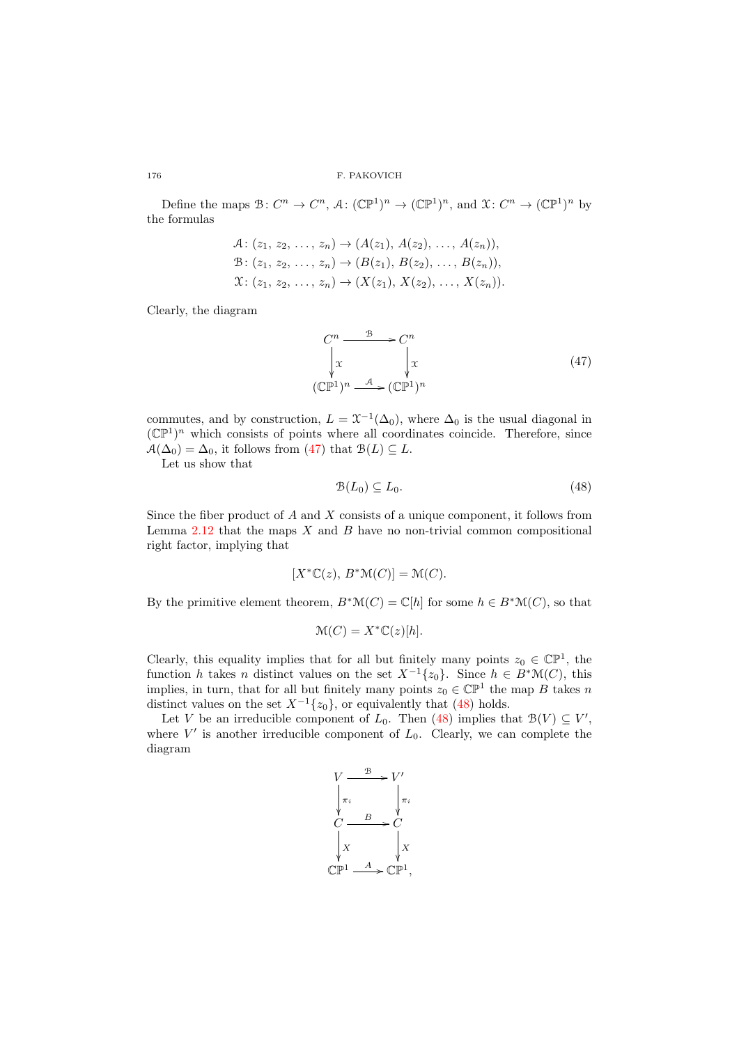Define the maps  $\mathcal{B}: C^n \to C^n$ ,  $\mathcal{A}: (\mathbb{CP}^1)^n \to (\mathbb{CP}^1)^n$ , and  $\mathcal{X}: C^n \to (\mathbb{CP}^1)^n$  by the formulas

$$
A: (z_1, z_2, \ldots, z_n) \to (A(z_1), A(z_2), \ldots, A(z_n)),
$$
  
\n
$$
B: (z_1, z_2, \ldots, z_n) \to (B(z_1), B(z_2), \ldots, B(z_n)),
$$
  
\n
$$
X: (z_1, z_2, \ldots, z_n) \to (X(z_1), X(z_2), \ldots, X(z_n)).
$$

Clearly, the diagram

<span id="page-23-0"></span>
$$
C^n \xrightarrow{\mathcal{B}} C^n
$$
  
\n
$$
\downarrow x \qquad \qquad \downarrow x
$$
  
\n
$$
(\mathbb{CP}^1)^n \xrightarrow{\mathcal{A}} (\mathbb{CP}^1)^n
$$
 (47)

commutes, and by construction,  $L = \mathfrak{X}^{-1}(\Delta_0)$ , where  $\Delta_0$  is the usual diagonal in  $(\mathbb{CP}^1)^n$  which consists of points where all coordinates coincide. Therefore, since  $A(\Delta_0) = \Delta_0$ , it follows from [\(47\)](#page-23-0) that  $B(L) \subseteq L$ .

Let us show that

<span id="page-23-1"></span>
$$
\mathcal{B}(L_0) \subseteq L_0. \tag{48}
$$

Since the fiber product of  $A$  and  $X$  consists of a unique component, it follows from Lemma  $2.12$  that the maps  $X$  and  $B$  have no non-trivial common compositional right factor, implying that

$$
[X^* \mathbb{C}(z), B^* \mathbb{M}(C)] = \mathbb{M}(C).
$$

By the primitive element theorem,  $B^*\mathcal{M}(C) = \mathbb{C}[h]$  for some  $h \in B^*\mathcal{M}(C)$ , so that

$$
\mathcal{M}(C) = X^* \mathbb{C}(z)[h].
$$

Clearly, this equality implies that for all but finitely many points  $z_0 \in \mathbb{CP}^1$ , the function h takes n distinct values on the set  $X^{-1}{z_0}$ . Since  $h \in B^*\mathcal{M}(C)$ , this implies, in turn, that for all but finitely many points  $z_0 \in \mathbb{CP}^1$  the map B takes n distinct values on the set  $X^{-1}{z_0}$ , or equivalently that [\(48\)](#page-23-1) holds.

Let V be an irreducible component of  $L_0$ . Then [\(48\)](#page-23-1) implies that  $\mathcal{B}(V) \subseteq V'$ , where  $V'$  is another irreducible component of  $L_0$ . Clearly, we can complete the diagram

$$
V \xrightarrow{\mathcal{B}} V'
$$
\n
$$
\begin{array}{ccc}\n & \nearrow & \nearrow \\
 & \nearrow & \nearrow \\
C & B & C \\
 & \nearrow & \nearrow \\
 & \nearrow & \nearrow \\
 & \nearrow & \nearrow \\
 & \searrow & \searrow \\
 & \searrow & \searrow \\
 & \searrow & \searrow \\
 & \searrow & \searrow \\
 & \searrow & \searrow \\
 & \searrow & \searrow \\
 & \searrow & \searrow \\
 & \searrow & \searrow \\
 & \searrow & \searrow \\
 & \searrow & \searrow \\
 & \searrow & \searrow \\
 & \searrow & \searrow \\
 & \searrow & \searrow \\
 & \searrow & \searrow \\
 & \searrow & \searrow \\
 & \searrow & \searrow \\
 & \searrow & \searrow \\
 & \searrow & \searrow \\
 & \searrow & \searrow \\
 & \searrow & \searrow \\
 & \searrow & \searrow \\
 & \searrow & \searrow \\
 & \searrow & \searrow \\
 & \searrow & \searrow \\
 & \searrow & \searrow \\
 & \searrow & \searrow \\
 & \searrow & \searrow \\
 & \searrow & \searrow \\
 & \searrow & \searrow \\
 & \searrow & \searrow \\
 & \searrow & \searrow \\
 & \searrow & \searrow \\
 & \searrow & \searrow \\
 & \searrow & \searrow \\
 & \searrow & \searrow \\
 & \searrow & \searrow \\
 & \searrow & \searrow \\
 & \searrow & \searrow \\
 & \searrow & \searrow \\
 & \searrow & \searrow \\
 & \searrow & \searrow \\
 & \searrow & \searrow \\
 & \searrow & \searrow \\
 & \searrow & \searrow \\
 & \searrow & \searrow \\
 & \searrow & \searrow \\
 & \searrow & \searrow \\
 & \searrow & \searrow \\
 & \searrow & \searrow \\
 & \searrow & \searrow \\
 & \searrow & \searrow \\
 & \searrow & \searrow \\
 & \searrow & \searrow \\
 & \searrow & \searrow \\
 & \searrow & \searrow \\
 & \searrow & \searrow \\
 & \searrow & \searrow \\
 & \searrow & \searrow \\
 & \searrow & \searrow \\
 & \searrow & \searrow \\
 & \searrow & \searrow \\
 & \searrow & \searrow \\
 & \searrow & \searrow \\
 & \searrow & \searrow \\
 & \searrow & \searrow \\
 & \searrow & \searrow \\
 & \searrow & \searrow \\
 & \searrow & \searrow \\
 & \searrow & \searrow \\
 & \searrow & \searrow \\
 & \searrow & \searrow \\
 & \searrow & \searrow \\
 & \searrow & \searrow \\
 & \searrow & \searrow \\
 & \searrow & \searrow \\
 & \searrow &
$$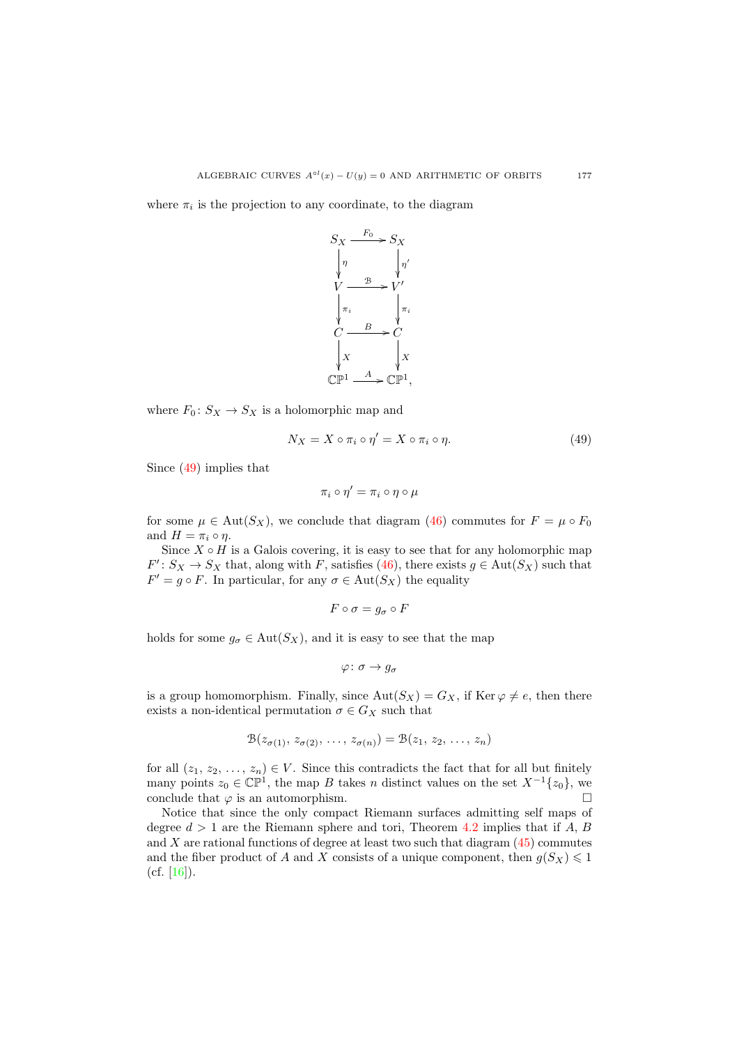where  $\pi_i$  is the projection to any coordinate, to the diagram



where  $F_0: S_X \to S_X$  is a holomorphic map and

<span id="page-24-0"></span>
$$
N_X = X \circ \pi_i \circ \eta' = X \circ \pi_i \circ \eta. \tag{49}
$$

Since [\(49\)](#page-24-0) implies that

$$
\pi_i\circ\eta'=\pi_i\circ\eta\circ\mu
$$

for some  $\mu \in \text{Aut}(S_X)$ , we conclude that diagram [\(46\)](#page-22-0) commutes for  $F = \mu \circ F_0$ and  $H = \pi_i \circ \eta$ .

Since  $X \circ H$  is a Galois covering, it is easy to see that for any holomorphic map  $F' : S_X \to S_X$  that, along with F, satisfies [\(46\)](#page-22-0), there exists  $g \in \text{Aut}(S_X)$  such that  $F' = g \circ F$ . In particular, for any  $\sigma \in Aut(S_X)$  the equality

$$
F\circ \sigma=g_\sigma\circ F
$$

holds for some  $g_{\sigma} \in \text{Aut}(S_X)$ , and it is easy to see that the map

$$
\varphi\colon\sigma\to g_\sigma
$$

is a group homomorphism. Finally, since  $Aut(S_X) = G_X$ , if  $Ker \varphi \neq e$ , then there exists a non-identical permutation  $\sigma \in G_X$  such that

$$
\mathcal{B}(z_{\sigma(1)}, z_{\sigma(2)}, \ldots, z_{\sigma(n)}) = \mathcal{B}(z_1, z_2, \ldots, z_n)
$$

for all  $(z_1, z_2, \ldots, z_n) \in V$ . Since this contradicts the fact that for all but finitely many points  $z_0 \in \mathbb{CP}^1$ , the map B takes n distinct values on the set  $X^{-1}\{z_0\}$ , we conclude that  $\varphi$  is an automorphism.

Notice that since the only compact Riemann surfaces admitting self maps of degree  $d > 1$  are the Riemann sphere and tori, Theorem [4.2](#page-25-0) implies that if A, B and X are rational functions of degree at least two such that diagram  $(45)$  commutes and the fiber product of A and X consists of a unique component, then  $g(S_X) \leq 1$  $(cf. [16]).$  $(cf. [16]).$  $(cf. [16]).$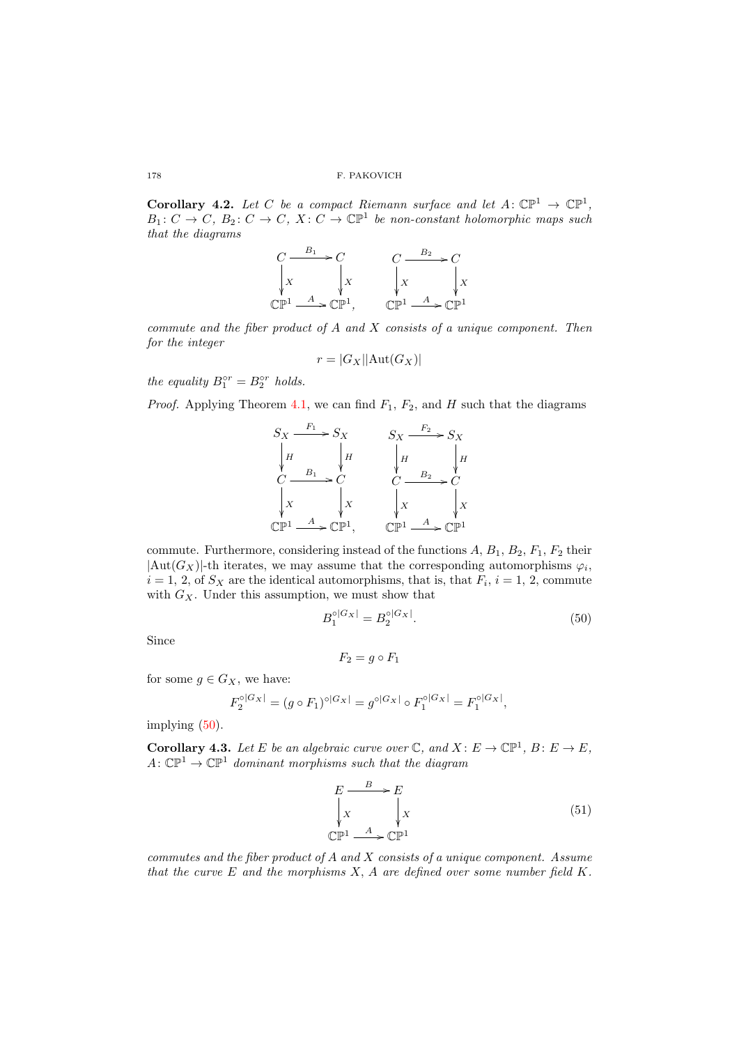<span id="page-25-0"></span>**Corollary 4.2.** Let C be a compact Riemann surface and let  $A: \mathbb{CP}^1 \to \mathbb{CP}^1$ ,  $B_1: C \to C, B_2: C \to C, X: C \to \mathbb{C} \mathbb{P}^1$  be non-constant holomorphic maps such that the diagrams

$$
\begin{array}{ccc}\nC & \xrightarrow{B_1} & C & \xrightarrow{C} & C \\
\downarrow x & \downarrow x & \downarrow x & \downarrow x \\
\mathbb{C}\mathbb{P}^1 & \xrightarrow{A} & \mathbb{C}\mathbb{P}^1, & \mathbb{C}\mathbb{P}^1 & \xrightarrow{A} & \mathbb{C}\mathbb{P}^1\n\end{array}
$$

commute and the fiber product of A and X consists of a unique component. Then for the integer

$$
r = |G_X| |\text{Aut}(G_X)|
$$

the equality  $B_1^{\circ r} = B_2^{\circ r}$  holds.

*Proof.* Applying Theorem [4.1,](#page-22-2) we can find  $F_1$ ,  $F_2$ , and H such that the diagrams



commute. Furthermore, considering instead of the functions  $A, B_1, B_2, F_1, F_2$  their  $|\text{Aut}(G_X)|$ -th iterates, we may assume that the corresponding automorphisms  $\varphi_i$ ,  $i = 1, 2$ , of  $S_X$  are the identical automorphisms, that is, that  $F_i$ ,  $i = 1, 2$ , commute with  $G_X$ . Under this assumption, we must show that

<span id="page-25-1"></span>
$$
B_1^{\circ|G_X|} = B_2^{\circ|G_X|}.
$$
\n(50)

Since

$$
F_2=g\circ F_1
$$

for some  $g \in G_X$ , we have:

$$
F_2^{\circ|G_X|} = (g \circ F_1)^{\circ|G_X|} = g^{\circ|G_X|} \circ F_1^{\circ|G_X|} = F_1^{\circ|G_X|},
$$

implying [\(50\)](#page-25-1).

<span id="page-25-3"></span>**Corollary 4.3.** Let E be an algebraic curve over  $\mathbb{C}$ , and  $X : E \to \mathbb{CP}^1$ ,  $B : E \to E$ ,  $A: \mathbb{CP}^1 \to \mathbb{CP}^1$  dominant morphisms such that the diagram

<span id="page-25-2"></span>
$$
E \xrightarrow{\text{B}} E
$$
\n
$$
\downarrow x \qquad \downarrow x
$$
\n
$$
\text{C}\mathbb{P}^1 \xrightarrow{\text{A}} \text{C}\mathbb{P}^1
$$
\n(51)

commutes and the fiber product of  $A$  and  $X$  consists of a unique component. Assume that the curve  $E$  and the morphisms  $X$ ,  $A$  are defined over some number field  $K$ .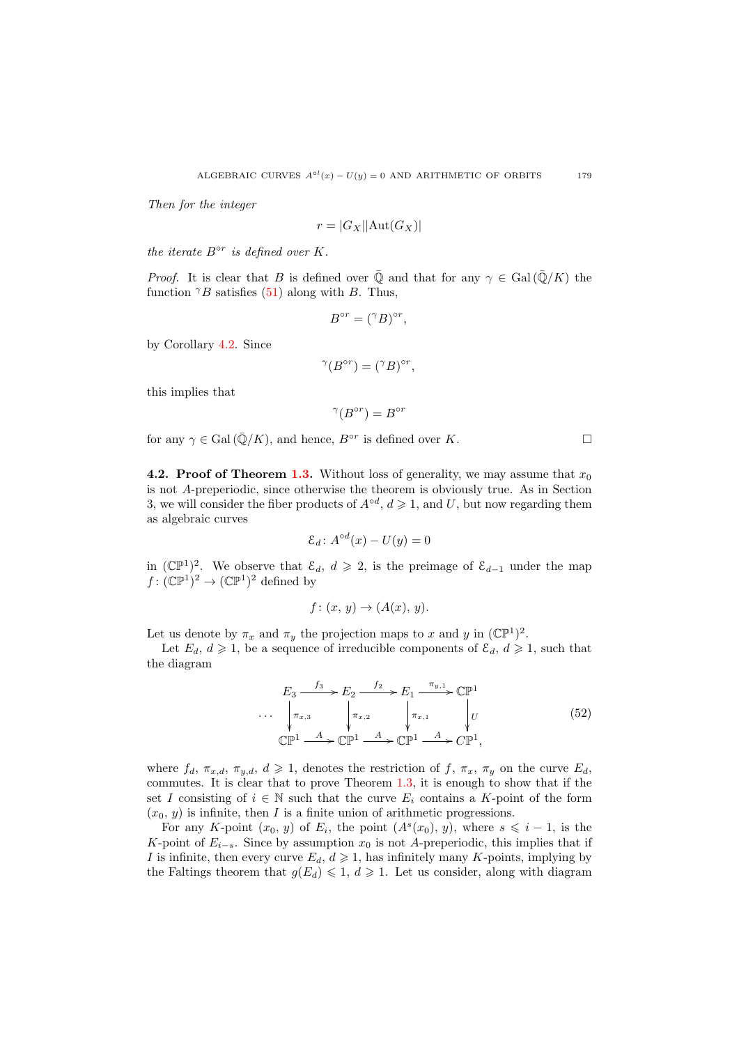Then for the integer

$$
r = |G_X| |\text{Aut}(G_X)|
$$

the iterate  $B^{\circ r}$  is defined over K.

*Proof.* It is clear that B is defined over  $\overline{Q}$  and that for any  $\gamma \in \text{Gal}(\overline{Q}/K)$  the function  $\gamma B$  satisfies [\(51\)](#page-25-2) along with B. Thus,

$$
B^{\circ r} = (^\gamma B)^{\circ r},
$$

by Corollary [4.2.](#page-25-0) Since

$$
{}^{\gamma}(B^{\circ r}) = ({}^{\gamma}B)^{\circ r},
$$

this implies that

$$
^{\gamma}(B^{\circ r}) = B^{\circ r}
$$

for any  $\gamma \in \text{Gal}(\overline{\mathbb{Q}}/K)$ , and hence,  $B^{\circ r}$  is defined over K.

**4.2. Proof of Theorem [1.3.](#page-4-0)** Without loss of generality, we may assume that  $x_0$ is not A-preperiodic, since otherwise the theorem is obviously true. As in Section 3, we will consider the fiber products of  $A^{\circ d}$ ,  $d \geq 1$ , and U, but now regarding them as algebraic curves

$$
\mathcal{E}_d \colon A^{\circ d}(x) - U(y) = 0
$$

in  $(\mathbb{CP}^1)^2$ . We observe that  $\mathcal{E}_d$ ,  $d \geq 2$ , is the preimage of  $\mathcal{E}_{d-1}$  under the map  $f: (\mathbb{CP}^1)^2 \to (\mathbb{CP}^1)^2$  defined by

$$
f\colon (x, y) \to (A(x), y).
$$

Let us denote by  $\pi_x$  and  $\pi_y$  the projection maps to x and y in  $(\mathbb{CP}^1)^2$ .

Let  $E_d, d \geq 1$ , be a sequence of irreducible components of  $\mathcal{E}_d, d \geq 1$ , such that the diagram

<span id="page-26-0"></span>
$$
E_3 \xrightarrow{f_3} E_2 \xrightarrow{f_2} E_1 \xrightarrow{\pi_{y,1}} \mathbb{CP}^1
$$
  
\n
$$
\cdots \xrightarrow[\pi_{x,3}]{\pi_{x,3}} \qquad \qquad \begin{array}{c}\n\pi_{y,2} \\
\downarrow \pi_{x,1}\n\end{array}\n\qquad\n\begin{array}{c}\n\pi_{y,1} \\
\downarrow U\n\end{array}
$$
\n
$$
\mathbb{CP}^1 \xrightarrow{A} \mathbb{CP}^1 \xrightarrow{A} \mathbb{CP}^1 \xrightarrow{A} \mathbb{CP}^1,
$$
\n
$$
(52)
$$

where  $f_d$ ,  $\pi_{x,d}$ ,  $\pi_{y,d}$ ,  $d \geq 1$ , denotes the restriction of  $f$ ,  $\pi_x$ ,  $\pi_y$  on the curve  $E_d$ . commutes. It is clear that to prove Theorem [1.3,](#page-4-0) it is enough to show that if the set I consisting of  $i \in \mathbb{N}$  such that the curve  $E_i$  contains a K-point of the form  $(x_0, y)$  is infinite, then I is a finite union of arithmetic progressions.

For any K-point  $(x_0, y)$  of  $E_i$ , the point  $(A<sup>s</sup>(x_0), y)$ , where  $s \leq i - 1$ , is the K-point of  $E_{i-s}$ . Since by assumption  $x_0$  is not A-preperiodic, this implies that if I is infinite, then every curve  $E_d$ ,  $d \geq 1$ , has infinitely many K-points, implying by the Faltings theorem that  $g(E_d) \leq 1$ ,  $d \geq 1$ . Let us consider, along with diagram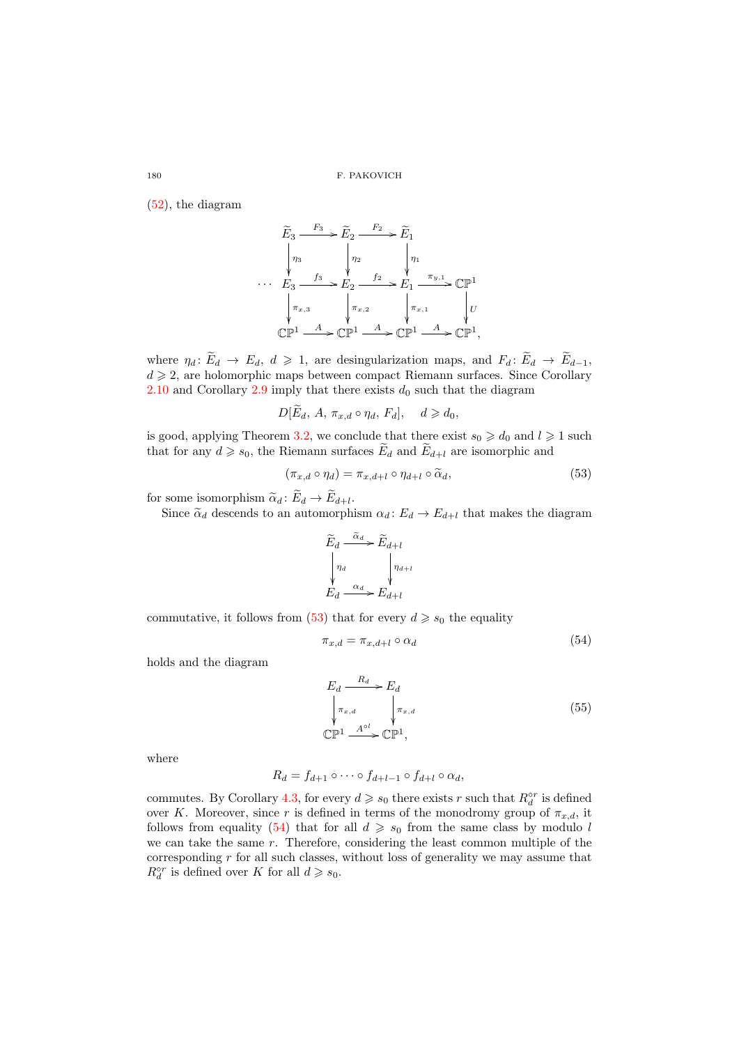[\(52\)](#page-26-0), the diagram

$$
\widetilde{E}_3 \xrightarrow{F_3} \widetilde{E}_2 \xrightarrow{F_2} \widetilde{E}_1
$$
\n
$$
\begin{array}{ccc}\n & \eta_3 & \eta_2 & \eta_1 \\
 & \eta_3 & \eta_2 & \eta_1 \\
 & \ddots & \ddots & \ddots \\
 & \ddots & \ddots & \ddots \\
 & & \ddots & \ddots \\
 & & & \ddots \\
 & & & & \ddots \\
 & & & & \ddots \\
 & & & & & \ddots \\
 & & & & & \ddots \\
 & & & & & & \ddots \\
 & & & & & & \ddots\n\end{array}
$$
\n
$$
\begin{array}{ccc}\n & F_3 & \rightarrow & F_2 & \rightarrow & F_1 \\
 & \ddots & & & & \ddots \\
 & & & & & & \ddots \\
 & & & & & & \ddots \\
 & & & & & & & \ddots\n\end{array}
$$
\n
$$
\begin{array}{ccc}\n & \pi_{x,1} & \rightarrow & \mathbb{CP}^1 \\
 & \pi_{x,2} & \rightarrow & \mathbb{CP}^1 \\
 & \pi_{x,1} & \rightarrow & \mathbb{CP}^1\n\end{array}
$$

where  $\eta_d: \widetilde{E}_d \to E_d, d \geq 1$ , are desingularization maps, and  $F_d: \widetilde{E}_d \to \widetilde{E}_{d-1}$ ,  $d \geq 2$ , are holomorphic maps between compact Riemann surfaces. Since Corollary [2.10](#page-11-4) and Corollary [2.9](#page-11-3) imply that there exists  $d_0$  such that the diagram

$$
D[\widetilde{E}_d, A, \pi_{x,d} \circ \eta_d, F_d], \quad d \geqslant d_0,
$$

is good, applying Theorem [3.2,](#page-15-2) we conclude that there exist  $s_0 \geq d_0$  and  $l \geq 1$  such that for any  $d \geq s_0$ , the Riemann surfaces  $\widetilde{E}_d$  and  $\widetilde{E}_{d+l}$  are isomorphic and

<span id="page-27-0"></span>
$$
(\pi_{x,d} \circ \eta_d) = \pi_{x,d+l} \circ \eta_{d+l} \circ \widetilde{\alpha}_d, \tag{53}
$$

for some isomorphism  $\tilde{\alpha}_d : E_d \to E_{d+l}$ .<br>Since  $\tilde{\alpha}$  descends to an automorphism

Since  $\tilde{\alpha}_d$  descends to an automorphism  $\alpha_d : E_d \to E_{d+l}$  that makes the diagram

$$
\widetilde{E}_d \xrightarrow{\widetilde{\alpha}_d} \widetilde{E}_{d+l}
$$
\n
$$
\begin{array}{ccc}\n\eta_d & \eta_{d+l} \\
\downarrow^{\eta_d} & \downarrow^{\eta_{d+l}} \\
E_d \xrightarrow{\alpha_d} E_{d+l}\n\end{array}
$$

commutative, it follows from [\(53\)](#page-27-0) that for every  $d \geq s_0$  the equality

<span id="page-27-1"></span>
$$
\pi_{x,d} = \pi_{x,d+l} \circ \alpha_d \tag{54}
$$

holds and the diagram

<span id="page-27-2"></span>
$$
E_d \xrightarrow{\text{R}_d} E_d
$$
\n
$$
\downarrow \pi_{x,d} \qquad \qquad \downarrow \pi_{x,d}
$$
\n
$$
\mathbb{CP}^1 \xrightarrow{\text{A}^{\circ l}} \mathbb{CP}^1,
$$
\n
$$
(55)
$$

where

$$
R_d = f_{d+1} \circ \cdots \circ f_{d+l-1} \circ f_{d+l} \circ \alpha_d,
$$

commutes. By Corollary [4.3,](#page-25-3) for every  $d \geq s_0$  there exists r such that  $R_d^{\circ r}$  is defined over K. Moreover, since r is defined in terms of the monodromy group of  $\pi_{x,d}$ , it follows from equality [\(54\)](#page-27-1) that for all  $d \geq s_0$  from the same class by modulo l we can take the same r. Therefore, considering the least common multiple of the corresponding  $r$  for all such classes, without loss of generality we may assume that  $R_d^{\circ r}$  is defined over K for all  $d \geqslant s_0$ .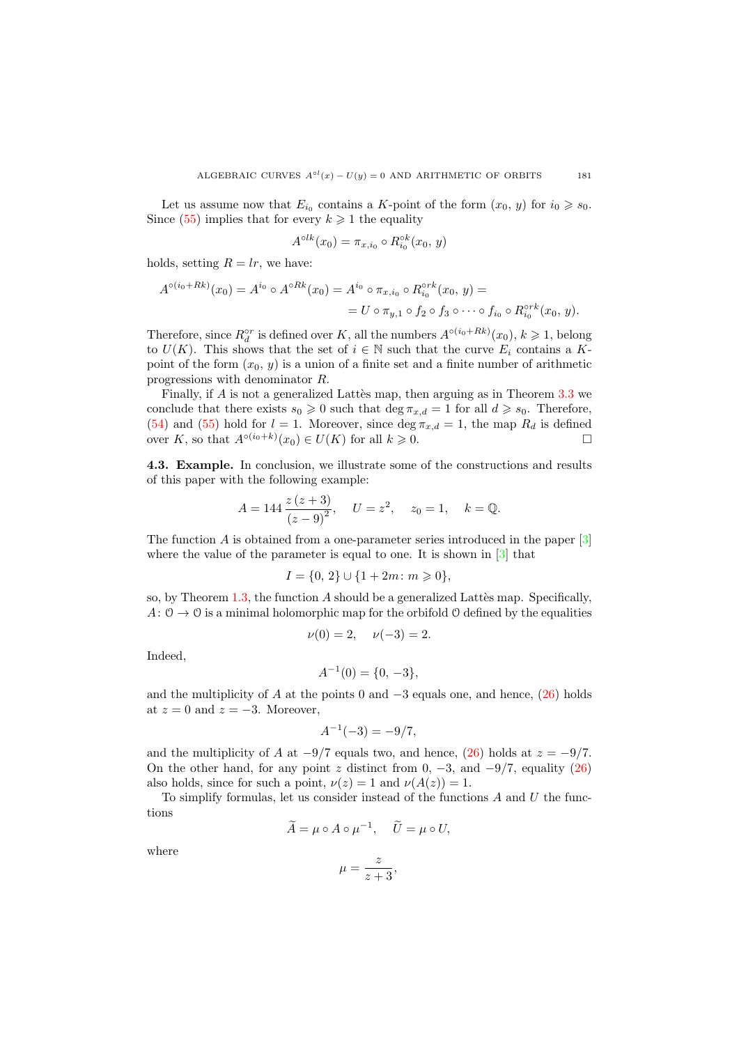Let us assume now that  $E_{i_0}$  contains a K-point of the form  $(x_0, y)$  for  $i_0 \geq s_0$ . Since [\(55\)](#page-27-2) implies that for every  $k \geq 1$  the equality

$$
A^{\circ lk}(x_0) = \pi_{x,i_0} \circ R_{i_0}^{\circ k}(x_0, y)
$$

holds, setting  $R = lr$ , we have:

$$
A^{\circ(i_0+Rk)}(x_0) = A^{i_0} \circ A^{\circ Rk}(x_0) = A^{i_0} \circ \pi_{x,i_0} \circ R_{i_0}^{\circ rk}(x_0, y) =
$$
  
=  $U \circ \pi_{y,1} \circ f_2 \circ f_3 \circ \cdots \circ f_{i_0} \circ R_{i_0}^{\circ rk}(x_0, y).$ 

Therefore, since  $R_d^{\circ r}$  is defined over K, all the numbers  $A^{\circ(i_0+Rk)}(x_0), k \geq 1$ , belong to  $U(K)$ . This shows that the set of  $i \in \mathbb{N}$  such that the curve  $E_i$  contains a Kpoint of the form  $(x_0, y)$  is a union of a finite set and a finite number of arithmetic progressions with denominator R.

Finally, if  $A$  is not a generalized Lattès map, then arguing as in Theorem  $3.3$  we conclude that there exists  $s_0 \geq 0$  such that  $\deg \pi_{x,d} = 1$  for all  $d \geq s_0$ . Therefore, [\(54\)](#page-27-1) and [\(55\)](#page-27-2) hold for  $l = 1$ . Moreover, since  $\deg \pi_{x,d} = 1$ , the map  $R_d$  is defined over K, so that  $A^{\circ(i_0+k)}(x_0) \in U(K)$  for all  $k \geq 0$ .

4.3. Example. In conclusion, we illustrate some of the constructions and results of this paper with the following example:

$$
A = 144 \frac{z (z + 3)}{(z - 9)^2}, \quad U = z^2, \quad z_0 = 1, \quad k = \mathbb{Q}.
$$

The function A is obtained from a one-parameter series introduced in the paper  $[3]$ where the value of the parameter is equal to one. It is shown in [\[3\]](#page-30-0) that

$$
I = \{0, 2\} \cup \{1 + 2m : m \geq 0\},\
$$

so, by Theorem  $1.3$ , the function A should be a generalized Lattes map. Specifically,  $A: \mathcal{O} \to \mathcal{O}$  is a minimal holomorphic map for the orbifold  $\mathcal{O}$  defined by the equalities

$$
\nu(0) = 2, \quad \nu(-3) = 2.
$$

Indeed,

$$
A^{-1}(0) = \{0, -3\},\
$$

and the multiplicity of A at the points 0 and  $-3$  equals one, and hence, [\(26\)](#page-13-0) holds at  $z = 0$  and  $z = -3$ . Moreover,

$$
A^{-1}(-3) = -9/7,
$$

and the multiplicity of A at  $-9/7$  equals two, and hence, [\(26\)](#page-13-0) holds at  $z = -9/7$ . On the other hand, for any point z distinct from  $0, -3$ , and  $-9/7$ , equality [\(26\)](#page-13-0) also holds, since for such a point,  $\nu(z) = 1$  and  $\nu(A(z)) = 1$ .

To simplify formulas, let us consider instead of the functions  $A$  and  $U$  the functions

$$
\widetilde{A} = \mu \circ A \circ \mu^{-1}, \quad \widetilde{U} = \mu \circ U,
$$

where

$$
\mu = \frac{z}{z+3},
$$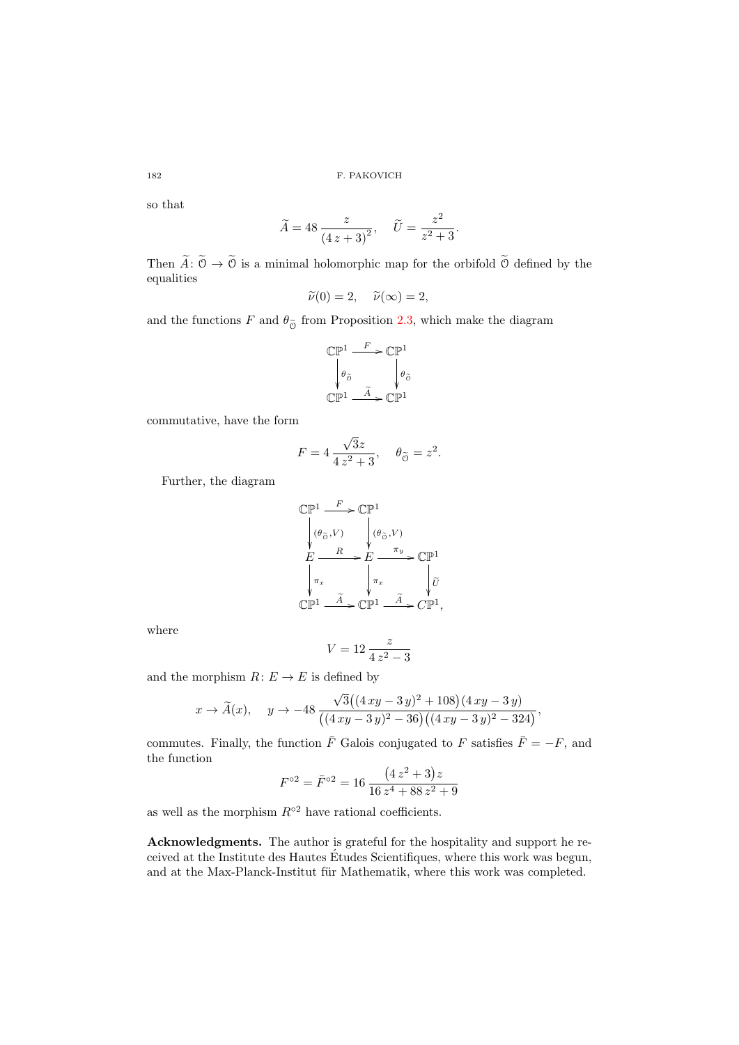so that

$$
\widetilde{A} = 48 \frac{z}{(4z+3)^2}, \quad \widetilde{U} = \frac{z^2}{z^2+3}.
$$

Then  $\widetilde{A}: \widetilde{\mathcal{O}} \to \widetilde{\mathcal{O}}$  is a minimal holomorphic map for the orbifold  $\widetilde{\mathcal{O}}$  defined by the equalities

$$
\widetilde{\nu}(0) = 2, \quad \widetilde{\nu}(\infty) = 2,
$$

and the functions F and  $\theta_{\tilde{\Omega}}$  from Proposition [2.3,](#page-7-3) which make the diagram

$$
\begin{array}{ccc}\mathbb{CP}^1 & \xrightarrow{F} \mathbb{CP}^1\\ \downarrow \theta_{\tilde{\circ}} & \downarrow \theta_{\tilde{\circ}}\\ \mathbb{CP}^1 & \xrightarrow{\tilde{A}} \mathbb{CP}^1\end{array}
$$

commutative, have the form

$$
F = 4 \frac{\sqrt{3}z}{4 z^2 + 3}, \quad \theta_{\widetilde{\mathcal{O}}} = z^2.
$$

Further, the diagram

$$
\label{eq:exp1} \begin{array}{ll} \mathbb{CP}^1 \xrightarrow{F} \mathbb{CP}^1 \\ \begin{array}{c} \big( \theta_{\widetilde{\mathcal{O}}}, V \big) \\ \mathcal{H} \\ E \xrightarrow{\qquad R} E \xrightarrow{\qquad \pi_y} \mathbb{CP}^1 \\ \begin{array}{c} \pi_x \\ \mathbb{CP}^1 \xrightarrow{\qquad \widetilde{A}} \mathbb{CP}^1 \xrightarrow{\qquad \widetilde{A}} \mathbb{CP}^1, \end{array} \end{array}
$$

where

$$
V = 12 \frac{z}{4z^2 - 3}
$$

and the morphism  $R: E \to E$  is defined by

$$
x \to \widetilde{A}(x), \quad y \to -48 \frac{\sqrt{3}((4 xy - 3 y)^2 + 108)(4 xy - 3 y)}{((4 xy - 3 y)^2 - 36)((4 xy - 3 y)^2 - 324)},
$$

commutes. Finally, the function  $\overline{F}$  Galois conjugated to F satisfies  $\overline{F} = -F$ , and the function

$$
F^{\circ 2} = \bar{F}^{\circ 2} = 16 \frac{(4 z^2 + 3) z}{16 z^4 + 88 z^2 + 9}
$$

as well as the morphism  $R<sup>°2</sup>$  have rational coefficients.

Acknowledgments. The author is grateful for the hospitality and support he received at the Institute des Hautes Etudes Scientifiques, where this work was begun, ´ and at the Max-Planck-Institut für Mathematik, where this work was completed.